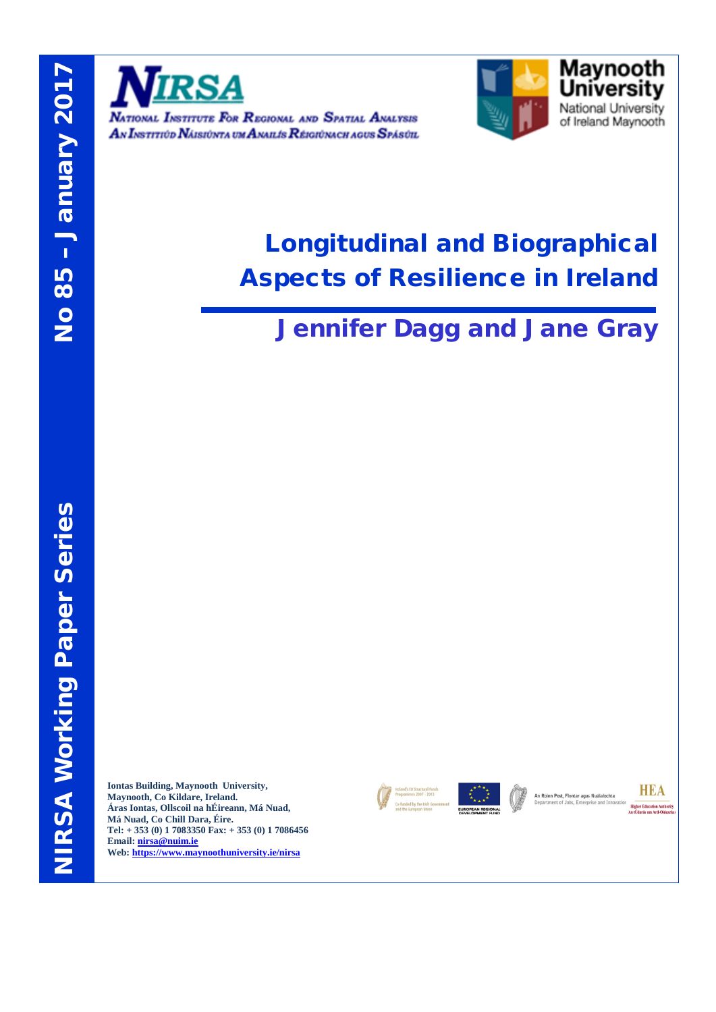

NATIONAL INSTITUTE FOR REGIONAL AND SPATIAL ANALYSIS AN INSTITIÚD NÁISIÚNTA UM ANAILIS RÉIGIÚNACH AGUS SPÁSÚIL



# Longitudinal and Biographical Aspects of Resilience in Ireland

# Jennifer Dagg and Jane Gray

**Iontas Building, Maynooth University, Maynooth, Co Kildare, Ireland. Áras Iontas, Ollscoil na hÉireann, Má Nuad, Má Nuad, Co Chill Dara, Éire. Tel: + 353 (0) 1 7083350 Fax: + 353 (0) 1 7086456 Email[: nirsa@nuim.ie](mailto:nirsa@nuim.ie) Web:<https://www.maynoothuniversity.ie/nirsa>**





**An Roinn Post, Fiontar agus Nuálaíochta**<br>Department of Jobs, Enterprise and Inno

**HEA Higher Education Authority**<br>An tÚdarás um Ard-Oideach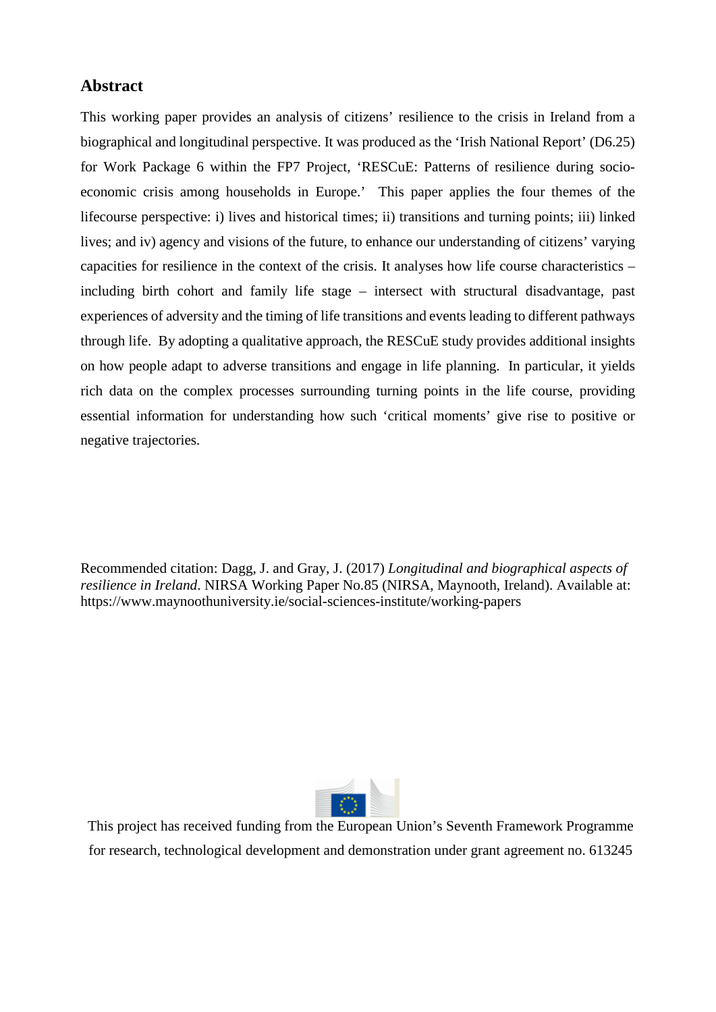### **Abstract**

This working paper provides an analysis of citizens' resilience to the crisis in Ireland from a biographical and longitudinal perspective. It was produced as the 'Irish National Report' (D6.25) for Work Package 6 within the FP7 Project, 'RESCuE: Patterns of resilience during socioeconomic crisis among households in Europe.' This paper applies the four themes of the lifecourse perspective: i) lives and historical times; ii) transitions and turning points; iii) linked lives; and iv) agency and visions of the future, to enhance our understanding of citizens' varying capacities for resilience in the context of the crisis. It analyses how life course characteristics – including birth cohort and family life stage – intersect with structural disadvantage, past experiences of adversity and the timing of life transitions and events leading to different pathways through life. By adopting a qualitative approach, the RESCuE study provides additional insights on how people adapt to adverse transitions and engage in life planning. In particular, it yields rich data on the complex processes surrounding turning points in the life course, providing essential information for understanding how such 'critical moments' give rise to positive or negative trajectories.

Recommended citation: Dagg, J. and Gray, J. (2017) *Longitudinal and biographical aspects of resilience in Ireland*. NIRSA Working Paper No.85 (NIRSA, Maynooth, Ireland). Available at: https://www.maynoothuniversity.ie/social-sciences-institute/working-papers



This project has received funding from the European Union's Seventh Framework Programme for research, technological development and demonstration under grant agreement no. 613245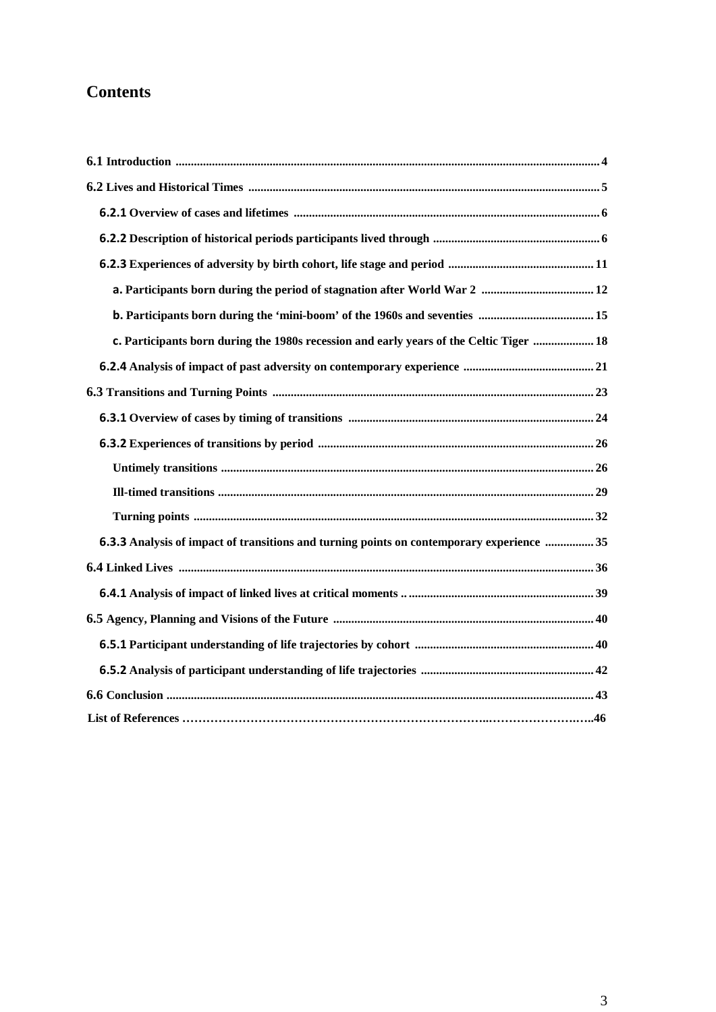## **Contents**

| c. Participants born during the 1980s recession and early years of the Celtic Tiger  18   |  |
|-------------------------------------------------------------------------------------------|--|
|                                                                                           |  |
|                                                                                           |  |
|                                                                                           |  |
|                                                                                           |  |
|                                                                                           |  |
|                                                                                           |  |
|                                                                                           |  |
| 6.3.3 Analysis of impact of transitions and turning points on contemporary experience  35 |  |
|                                                                                           |  |
|                                                                                           |  |
|                                                                                           |  |
|                                                                                           |  |
|                                                                                           |  |
|                                                                                           |  |
|                                                                                           |  |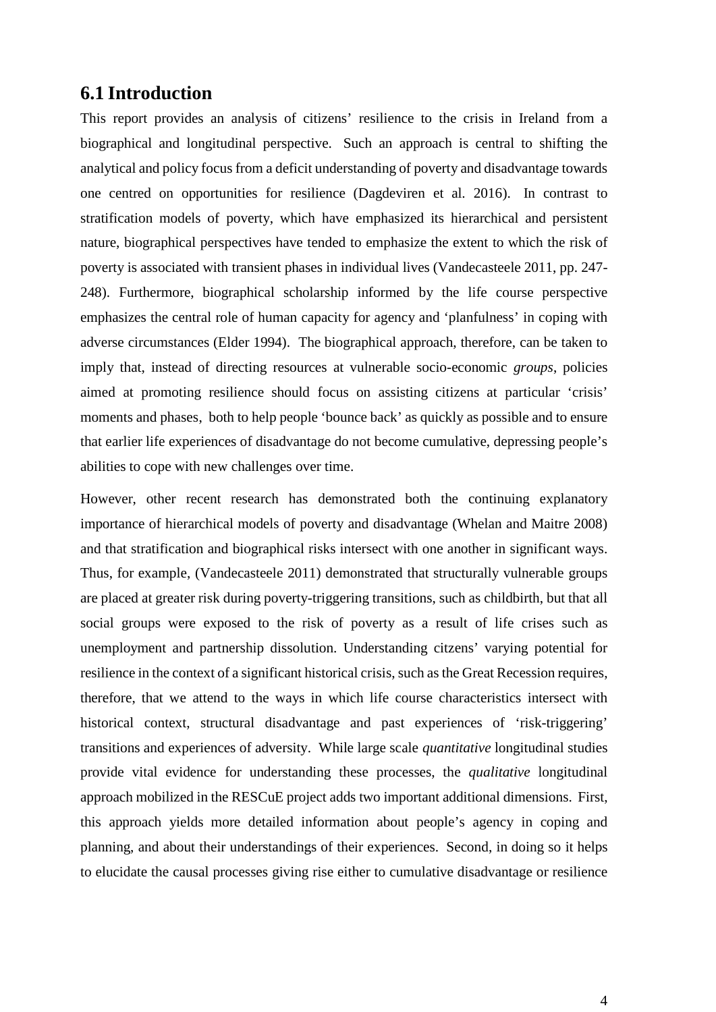## <span id="page-3-0"></span>**6.1 Introduction**

This report provides an analysis of citizens' resilience to the crisis in Ireland from a biographical and longitudinal perspective. Such an approach is central to shifting the analytical and policy focus from a deficit understanding of poverty and disadvantage towards one centred on opportunities for resilience (Dagdeviren et al. 2016). In contrast to stratification models of poverty, which have emphasized its hierarchical and persistent nature, biographical perspectives have tended to emphasize the extent to which the risk of poverty is associated with transient phases in individual lives (Vandecasteele 2011, pp. 247- 248). Furthermore, biographical scholarship informed by the life course perspective emphasizes the central role of human capacity for agency and 'planfulness' in coping with adverse circumstances (Elder 1994). The biographical approach, therefore, can be taken to imply that, instead of directing resources at vulnerable socio-economic *groups*, policies aimed at promoting resilience should focus on assisting citizens at particular 'crisis' moments and phases, both to help people 'bounce back' as quickly as possible and to ensure that earlier life experiences of disadvantage do not become cumulative, depressing people's abilities to cope with new challenges over time.

However, other recent research has demonstrated both the continuing explanatory importance of hierarchical models of poverty and disadvantage (Whelan and Maitre 2008) and that stratification and biographical risks intersect with one another in significant ways. Thus, for example, (Vandecasteele 2011) demonstrated that structurally vulnerable groups are placed at greater risk during poverty-triggering transitions, such as childbirth, but that all social groups were exposed to the risk of poverty as a result of life crises such as unemployment and partnership dissolution. Understanding citzens' varying potential for resilience in the context of a significant historical crisis, such as the Great Recession requires, therefore, that we attend to the ways in which life course characteristics intersect with historical context, structural disadvantage and past experiences of 'risk-triggering' transitions and experiences of adversity. While large scale *quantitative* longitudinal studies provide vital evidence for understanding these processes, the *qualitative* longitudinal approach mobilized in the RESCuE project adds two important additional dimensions. First, this approach yields more detailed information about people's agency in coping and planning, and about their understandings of their experiences. Second, in doing so it helps to elucidate the causal processes giving rise either to cumulative disadvantage or resilience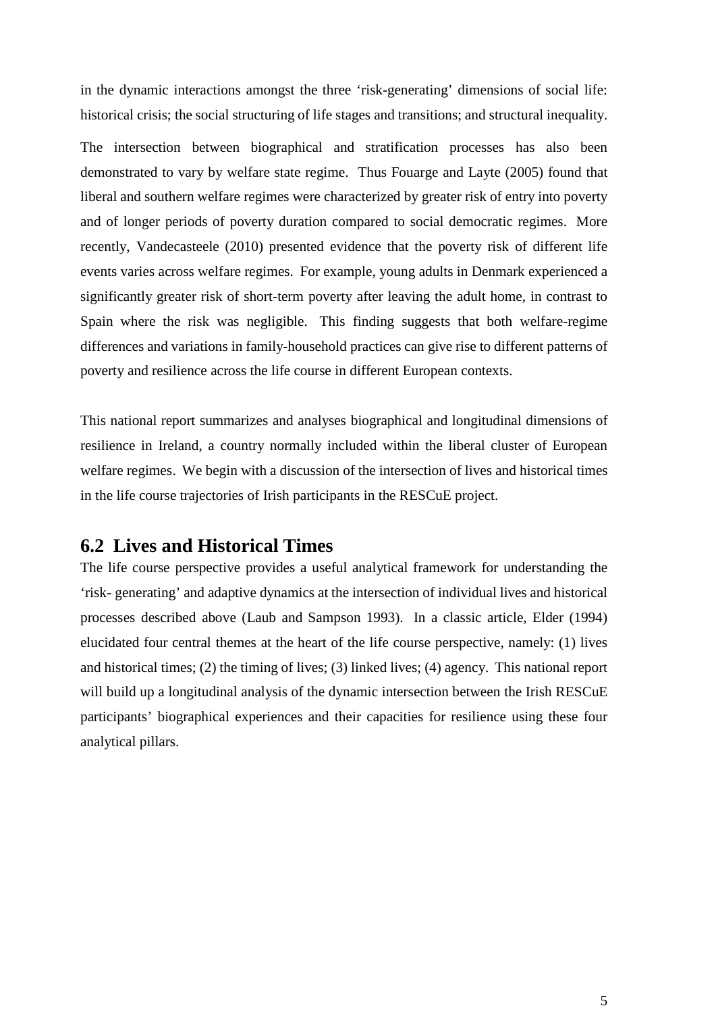in the dynamic interactions amongst the three 'risk-generating' dimensions of social life: historical crisis; the social structuring of life stages and transitions; and structural inequality.

The intersection between biographical and stratification processes has also been demonstrated to vary by welfare state regime. Thus Fouarge and Layte (2005) found that liberal and southern welfare regimes were characterized by greater risk of entry into poverty and of longer periods of poverty duration compared to social democratic regimes. More recently, Vandecasteele (2010) presented evidence that the poverty risk of different life events varies across welfare regimes. For example, young adults in Denmark experienced a significantly greater risk of short-term poverty after leaving the adult home, in contrast to Spain where the risk was negligible. This finding suggests that both welfare-regime differences and variations in family-household practices can give rise to different patterns of poverty and resilience across the life course in different European contexts.

This national report summarizes and analyses biographical and longitudinal dimensions of resilience in Ireland, a country normally included within the liberal cluster of European welfare regimes. We begin with a discussion of the intersection of lives and historical times in the life course trajectories of Irish participants in the RESCuE project.

## **6.2 Lives and Historical Times**

The life course perspective provides a useful analytical framework for understanding the 'risk- generating' and adaptive dynamics at the intersection of individual lives and historical processes described above (Laub and Sampson 1993). In a classic article, Elder (1994) elucidated four central themes at the heart of the life course perspective, namely: (1) lives and historical times; (2) the timing of lives; (3) linked lives; (4) agency. This national report will build up a longitudinal analysis of the dynamic intersection between the Irish RESCuE participants' biographical experiences and their capacities for resilience using these four analytical pillars.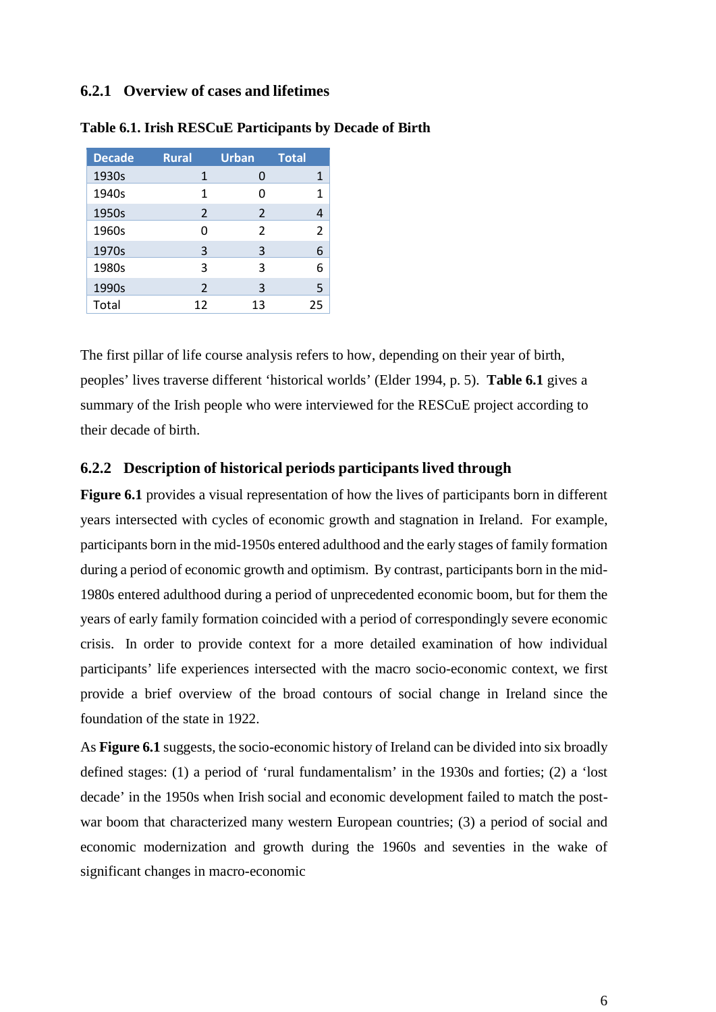#### <span id="page-5-0"></span>**6.2.1 Overview of cases and lifetimes**

| <b>Decade</b> | <b>Rural</b>  | <b>Urban</b> | <b>Total</b>  |
|---------------|---------------|--------------|---------------|
| 1930s         | 1             | 0            | 1             |
| 1940s         | 1             | ი            | 1             |
| 1950s         | $\mathcal{P}$ | 2            | 4             |
| 1960s         | ŋ             | 2            | $\mathcal{P}$ |
| 1970s         | 3             | 3            | 6             |
| 1980s         | 3             | ς            | 6             |
| 1990s         | 2             | ξ            | 5             |
| Total         | 12            | 13           | 25            |

#### **Table 6.1. Irish RESCuE Participants by Decade of Birth**

The first pillar of life course analysis refers to how, depending on their year of birth, peoples' lives traverse different 'historical worlds' (Elder 1994, p. 5). **Table 6.1** gives a summary of the Irish people who were interviewed for the RESCuE project according to their decade of birth.

#### <span id="page-5-1"></span>**6.2.2 Description of historical periods participants lived through**

**Figure 6.1** provides a visual representation of how the lives of participants born in different years intersected with cycles of economic growth and stagnation in Ireland. For example, participants born in the mid-1950s entered adulthood and the early stages of family formation during a period of economic growth and optimism. By contrast, participants born in the mid-1980s entered adulthood during a period of unprecedented economic boom, but for them the years of early family formation coincided with a period of correspondingly severe economic crisis. In order to provide context for a more detailed examination of how individual participants' life experiences intersected with the macro socio-economic context, we first provide a brief overview of the broad contours of social change in Ireland since the foundation of the state in 1922.

As **Figure 6.1** suggests, the socio-economic history of Ireland can be divided into six broadly defined stages: (1) a period of 'rural fundamentalism' in the 1930s and forties; (2) a 'lost decade' in the 1950s when Irish social and economic development failed to match the postwar boom that characterized many western European countries; (3) a period of social and economic modernization and growth during the 1960s and seventies in the wake of significant changes in macro-economic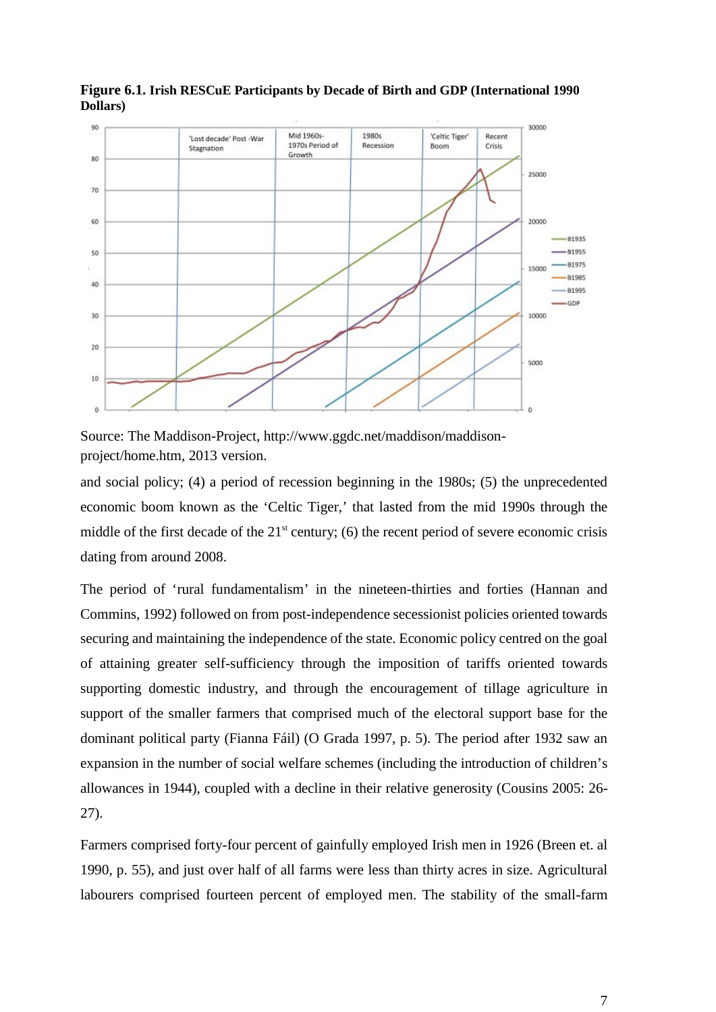

**Figure 6.1. Irish RESCuE Participants by Decade of Birth and GDP (International 1990 Dollars)**

Source: The Maddison-Projec[t, http://www.ggdc.net/maddison/maddison](http://www.ggdc.net/maddison/maddison-project/home.htm)[project/home.htm, 2](http://www.ggdc.net/maddison/maddison-project/home.htm)013 version.

and social policy; (4) a period of recession beginning in the 1980s; (5) the unprecedented economic boom known as the 'Celtic Tiger,' that lasted from the mid 1990s through the middle of the first decade of the  $21<sup>st</sup>$  century; (6) the recent period of severe economic crisis dating from around 2008.

The period of 'rural fundamentalism' in the nineteen-thirties and forties (Hannan and Commins, 1992) followed on from post-independence secessionist policies oriented towards securing and maintaining the independence of the state. Economic policy centred on the goal of attaining greater self-sufficiency through the imposition of tariffs oriented towards supporting domestic industry, and through the encouragement of tillage agriculture in support of the smaller farmers that comprised much of the electoral support base for the dominant political party (Fianna Fáil) (O Grada 1997, p. 5). The period after 1932 saw an expansion in the number of social welfare schemes (including the introduction of children's allowances in 1944), coupled with a decline in their relative generosity (Cousins 2005: 26- 27).

Farmers comprised forty-four percent of gainfully employed Irish men in 1926 (Breen et. al 1990, p. 55), and just over half of all farms were less than thirty acres in size. Agricultural labourers comprised fourteen percent of employed men. The stability of the small-farm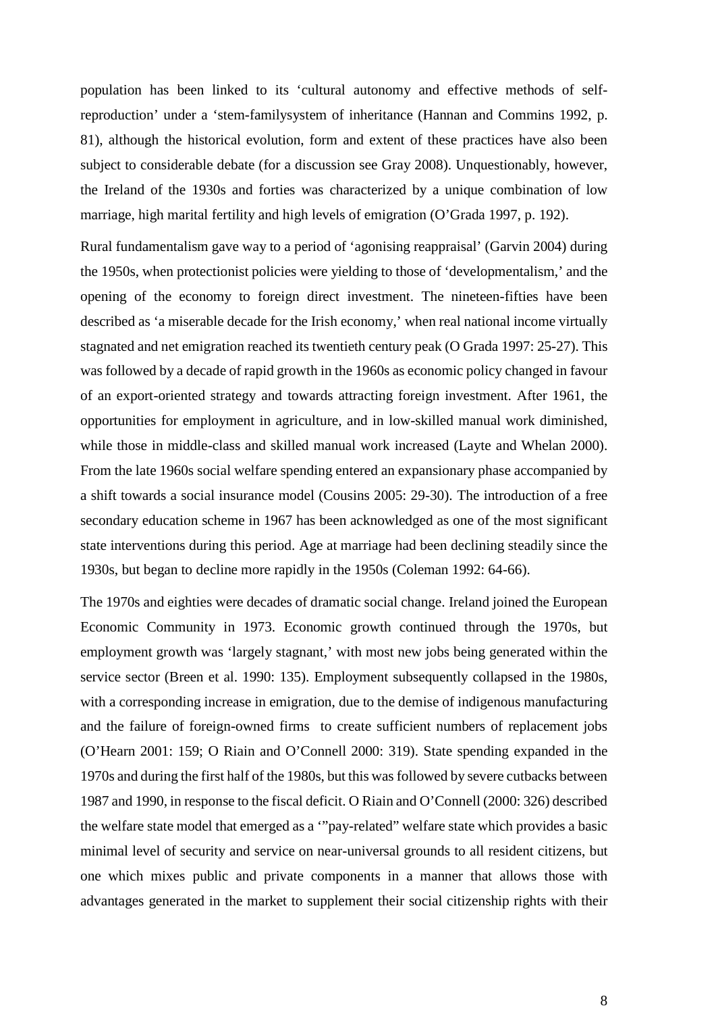population has been linked to its 'cultural autonomy and effective methods of selfreproduction' under a 'stem-familysystem of inheritance (Hannan and Commins 1992, p. 81), although the historical evolution, form and extent of these practices have also been subject to considerable debate (for a discussion see Gray 2008). Unquestionably, however, the Ireland of the 1930s and forties was characterized by a unique combination of low marriage, high marital fertility and high levels of emigration (O'Grada 1997, p. 192).

Rural fundamentalism gave way to a period of 'agonising reappraisal' (Garvin 2004) during the 1950s, when protectionist policies were yielding to those of 'developmentalism,' and the opening of the economy to foreign direct investment. The nineteen-fifties have been described as 'a miserable decade for the Irish economy,' when real national income virtually stagnated and net emigration reached its twentieth century peak (O Grada 1997: 25-27). This was followed by a decade of rapid growth in the 1960s as economic policy changed in favour of an export-oriented strategy and towards attracting foreign investment. After 1961, the opportunities for employment in agriculture, and in low-skilled manual work diminished, while those in middle-class and skilled manual work increased (Layte and Whelan 2000). From the late 1960s social welfare spending entered an expansionary phase accompanied by a shift towards a social insurance model (Cousins 2005: 29-30). The introduction of a free secondary education scheme in 1967 has been acknowledged as one of the most significant state interventions during this period. Age at marriage had been declining steadily since the 1930s, but began to decline more rapidly in the 1950s (Coleman 1992: 64-66).

The 1970s and eighties were decades of dramatic social change. Ireland joined the European Economic Community in 1973. Economic growth continued through the 1970s, but employment growth was 'largely stagnant,' with most new jobs being generated within the service sector (Breen et al. 1990: 135). Employment subsequently collapsed in the 1980s, with a corresponding increase in emigration, due to the demise of indigenous manufacturing and the failure of foreign-owned firms to create sufficient numbers of replacement jobs (O'Hearn 2001: 159; O Riain and O'Connell 2000: 319). State spending expanded in the 1970s and during the first half of the 1980s, but this was followed by severe cutbacks between 1987 and 1990, in response to the fiscal deficit. O Riain and O'Connell (2000: 326) described the welfare state model that emerged as a '"pay-related" welfare state which provides a basic minimal level of security and service on near-universal grounds to all resident citizens, but one which mixes public and private components in a manner that allows those with advantages generated in the market to supplement their social citizenship rights with their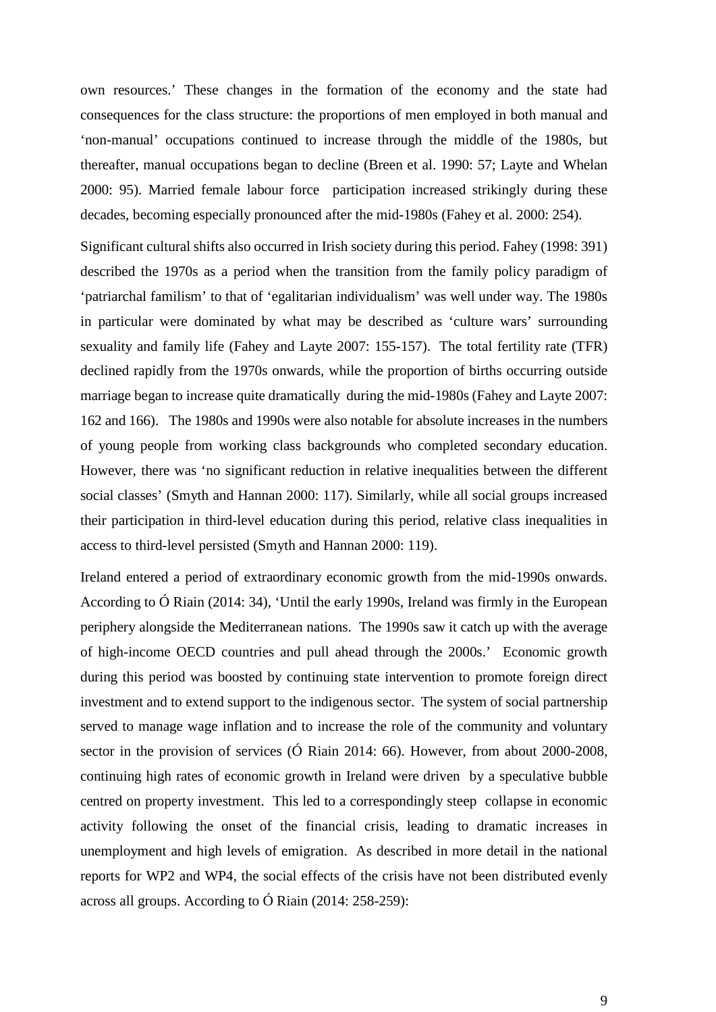own resources.' These changes in the formation of the economy and the state had consequences for the class structure: the proportions of men employed in both manual and 'non-manual' occupations continued to increase through the middle of the 1980s, but thereafter, manual occupations began to decline (Breen et al. 1990: 57; Layte and Whelan 2000: 95). Married female labour force participation increased strikingly during these decades, becoming especially pronounced after the mid-1980s (Fahey et al. 2000: 254).

Significant cultural shifts also occurred in Irish society during this period. Fahey (1998: 391) described the 1970s as a period when the transition from the family policy paradigm of 'patriarchal familism' to that of 'egalitarian individualism' was well under way. The 1980s in particular were dominated by what may be described as 'culture wars' surrounding sexuality and family life (Fahey and Layte 2007: 155-157). The total fertility rate (TFR) declined rapidly from the 1970s onwards, while the proportion of births occurring outside marriage began to increase quite dramatically during the mid-1980s (Fahey and Layte 2007: 162 and 166). The 1980s and 1990s were also notable for absolute increases in the numbers of young people from working class backgrounds who completed secondary education. However, there was 'no significant reduction in relative inequalities between the different social classes' (Smyth and Hannan 2000: 117). Similarly, while all social groups increased their participation in third-level education during this period, relative class inequalities in access to third-level persisted (Smyth and Hannan 2000: 119).

Ireland entered a period of extraordinary economic growth from the mid-1990s onwards. According to Ó Riain (2014: 34), 'Until the early 1990s, Ireland was firmly in the European periphery alongside the Mediterranean nations. The 1990s saw it catch up with the average of high-income OECD countries and pull ahead through the 2000s.' Economic growth during this period was boosted by continuing state intervention to promote foreign direct investment and to extend support to the indigenous sector. The system of social partnership served to manage wage inflation and to increase the role of the community and voluntary sector in the provision of services (Ó Riain 2014: 66). However, from about 2000-2008, continuing high rates of economic growth in Ireland were driven by a speculative bubble centred on property investment. This led to a correspondingly steep collapse in economic activity following the onset of the financial crisis, leading to dramatic increases in unemployment and high levels of emigration. As described in more detail in the national reports for WP2 and WP4, the social effects of the crisis have not been distributed evenly across all groups. According to Ó Riain (2014: 258-259):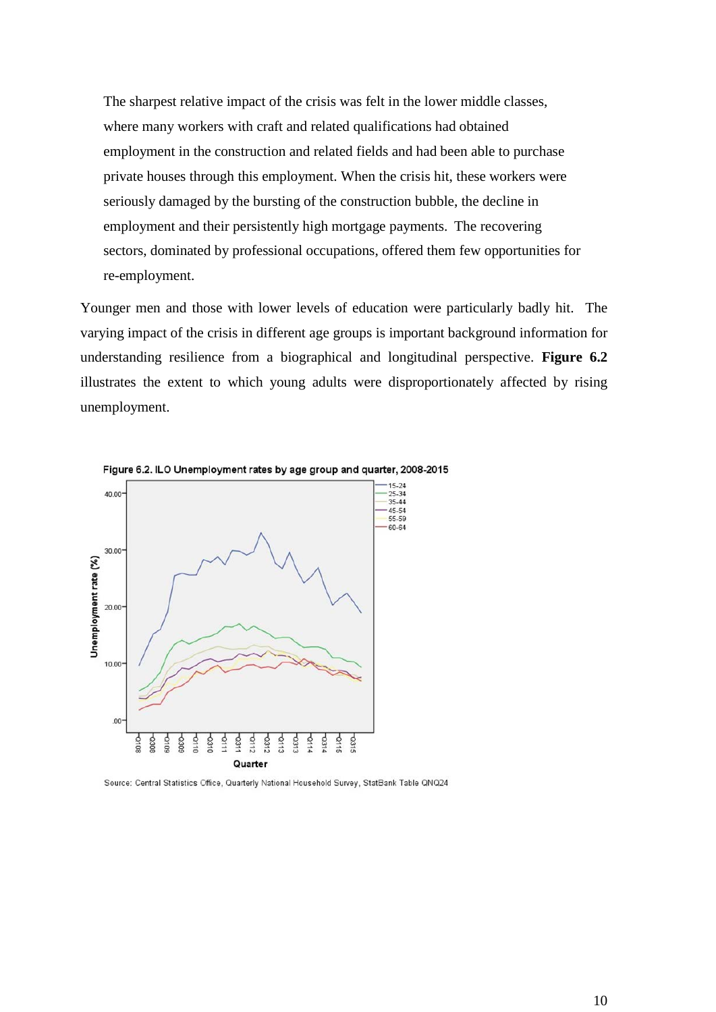The sharpest relative impact of the crisis was felt in the lower middle classes, where many workers with craft and related qualifications had obtained employment in the construction and related fields and had been able to purchase private houses through this employment. When the crisis hit, these workers were seriously damaged by the bursting of the construction bubble, the decline in employment and their persistently high mortgage payments. The recovering sectors, dominated by professional occupations, offered them few opportunities for re-employment.

Younger men and those with lower levels of education were particularly badly hit. The varying impact of the crisis in different age groups is important background information for understanding resilience from a biographical and longitudinal perspective. **Figure 6.2** illustrates the extent to which young adults were disproportionately affected by rising unemployment.



Figure 6.2. ILO Unemployment rates by age group and quarter, 2008-2015

Source: Central Statistics Office, Quarterly National Household Survey, StatBank Table QNQ24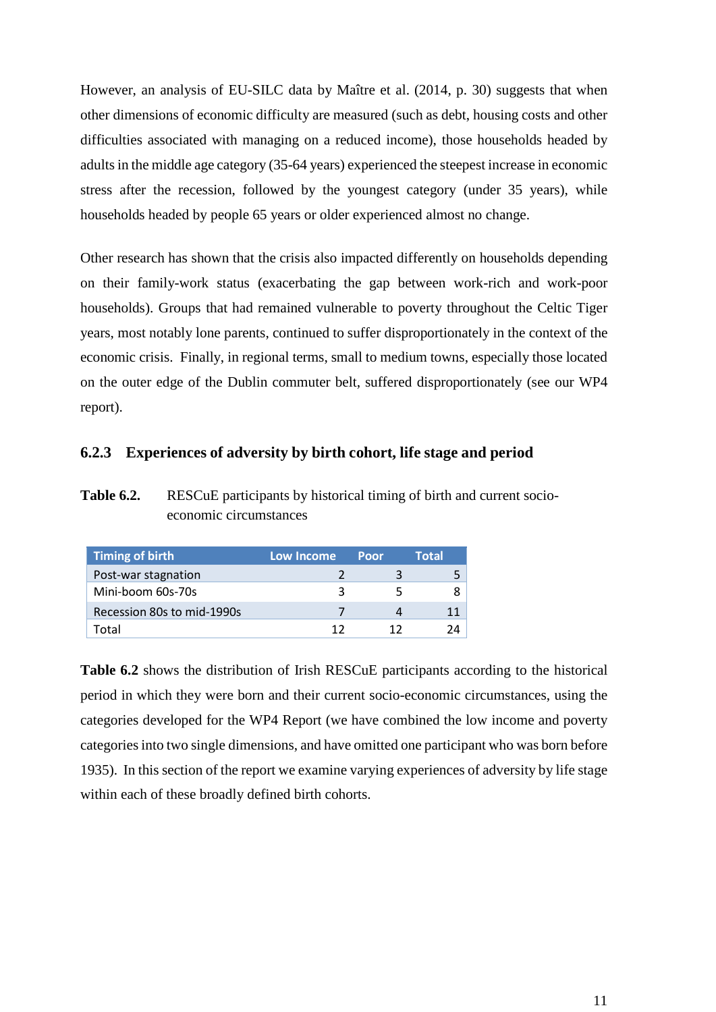However, an analysis of EU-SILC data by Maître et al. (2014, p. 30) suggests that when other dimensions of economic difficulty are measured (such as debt, housing costs and other difficulties associated with managing on a reduced income), those households headed by adults in the middle age category (35-64 years) experienced the steepest increase in economic stress after the recession, followed by the youngest category (under 35 years), while households headed by people 65 years or older experienced almost no change.

Other research has shown that the crisis also impacted differently on households depending on their family-work status (exacerbating the gap between work-rich and work-poor households). Groups that had remained vulnerable to poverty throughout the Celtic Tiger years, most notably lone parents, continued to suffer disproportionately in the context of the economic crisis. Finally, in regional terms, small to medium towns, especially those located on the outer edge of the Dublin commuter belt, suffered disproportionately (see our WP4 report).

#### <span id="page-10-0"></span>**6.2.3 Experiences of adversity by birth cohort, life stage and period**

**Table 6.2.** RESCuE participants by historical timing of birth and current socioeconomic circumstances

| <b>Timing of birth</b>     | <b>Low Income</b> | Poor | Total |
|----------------------------|-------------------|------|-------|
| Post-war stagnation        |                   |      |       |
| Mini-boom 60s-70s          | ર                 | ∽    |       |
| Recession 80s to mid-1990s |                   |      |       |
| rotal                      |                   |      |       |

**Table 6.2** shows the distribution of Irish RESCuE participants according to the historical period in which they were born and their current socio-economic circumstances, using the categories developed for the WP4 Report (we have combined the low income and poverty categories into two single dimensions, and have omitted one participant who was born before 1935). In this section of the report we examine varying experiences of adversity by life stage within each of these broadly defined birth cohorts.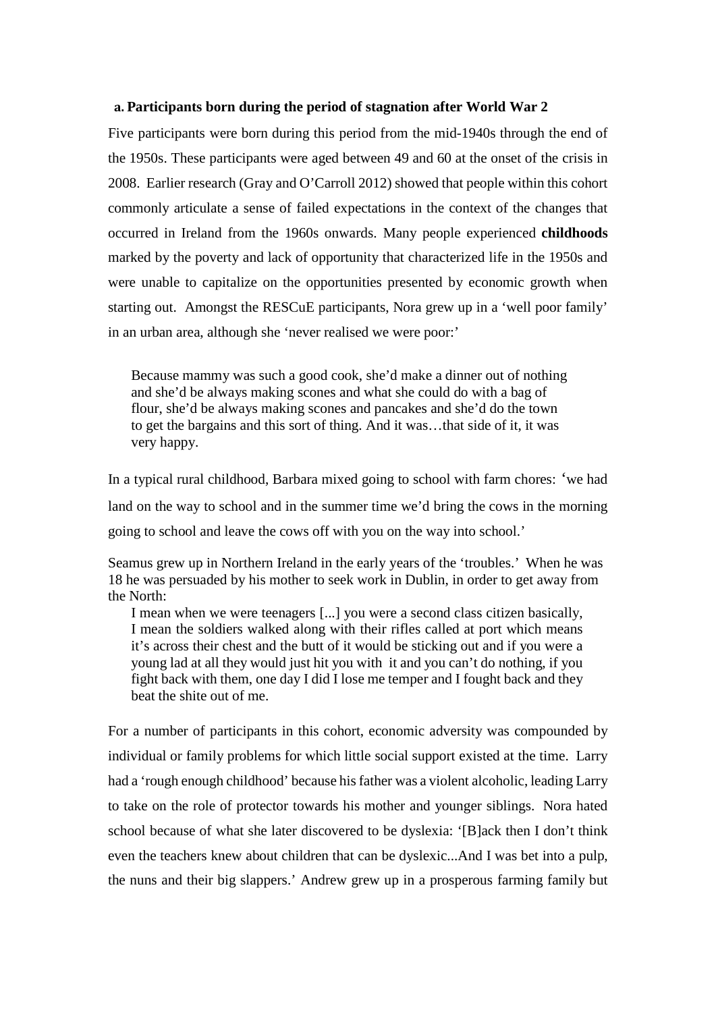#### <span id="page-11-0"></span>**a. Participants born during the period of stagnation after World War 2**

Five participants were born during this period from the mid-1940s through the end of the 1950s. These participants were aged between 49 and 60 at the onset of the crisis in 2008. Earlier research (Gray and O'Carroll 2012) showed that people within this cohort commonly articulate a sense of failed expectations in the context of the changes that occurred in Ireland from the 1960s onwards. Many people experienced **childhoods** marked by the poverty and lack of opportunity that characterized life in the 1950s and were unable to capitalize on the opportunities presented by economic growth when starting out. Amongst the RESCuE participants, Nora grew up in a 'well poor family' in an urban area, although she 'never realised we were poor:'

Because mammy was such a good cook, she'd make a dinner out of nothing and she'd be always making scones and what she could do with a bag of flour, she'd be always making scones and pancakes and she'd do the town to get the bargains and this sort of thing. And it was…that side of it, it was very happy.

In a typical rural childhood, Barbara mixed going to school with farm chores: 'we had land on the way to school and in the summer time we'd bring the cows in the morning going to school and leave the cows off with you on the way into school.'

Seamus grew up in Northern Ireland in the early years of the 'troubles.' When he was 18 he was persuaded by his mother to seek work in Dublin, in order to get away from the North:

I mean when we were teenagers [...] you were a second class citizen basically, I mean the soldiers walked along with their rifles called at port which means it's across their chest and the butt of it would be sticking out and if you were a young lad at all they would just hit you with it and you can't do nothing, if you fight back with them, one day I did I lose me temper and I fought back and they beat the shite out of me.

For a number of participants in this cohort, economic adversity was compounded by individual or family problems for which little social support existed at the time. Larry had a 'rough enough childhood' because hisfather was a violent alcoholic, leading Larry to take on the role of protector towards his mother and younger siblings. Nora hated school because of what she later discovered to be dyslexia: '[B]ack then I don't think even the teachers knew about children that can be dyslexic...And I was bet into a pulp, the nuns and their big slappers.' Andrew grew up in a prosperous farming family but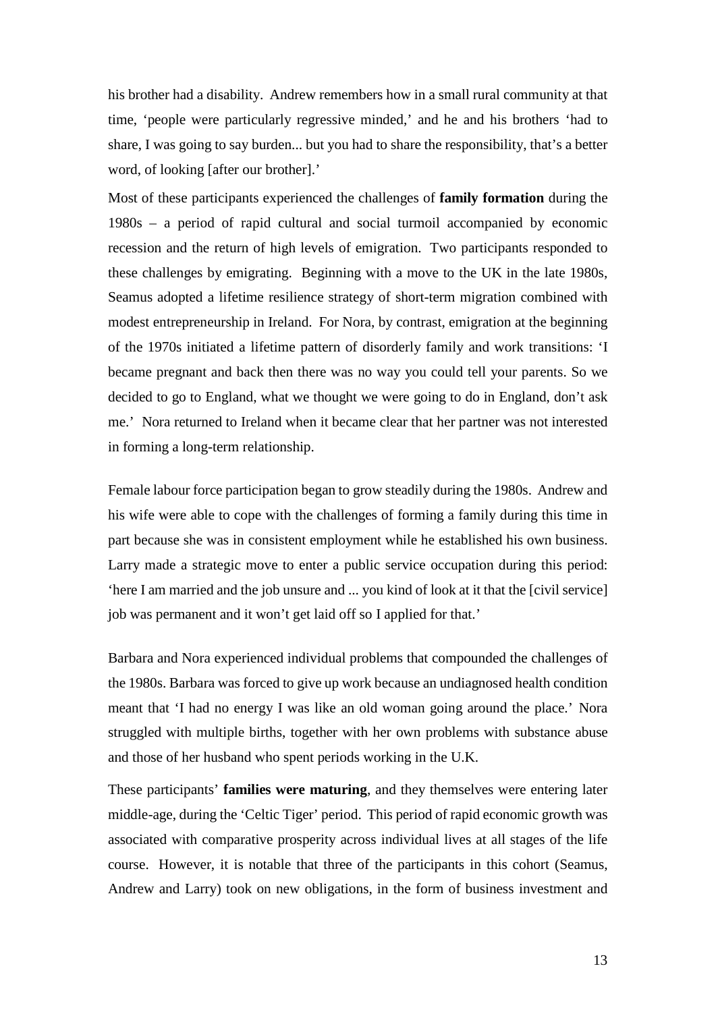his brother had a disability. Andrew remembers how in a small rural community at that time, 'people were particularly regressive minded,' and he and his brothers 'had to share, I was going to say burden... but you had to share the responsibility, that's a better word, of looking [after our brother].'

Most of these participants experienced the challenges of **family formation** during the 1980s – a period of rapid cultural and social turmoil accompanied by economic recession and the return of high levels of emigration. Two participants responded to these challenges by emigrating. Beginning with a move to the UK in the late 1980s, Seamus adopted a lifetime resilience strategy of short-term migration combined with modest entrepreneurship in Ireland. For Nora, by contrast, emigration at the beginning of the 1970s initiated a lifetime pattern of disorderly family and work transitions: 'I became pregnant and back then there was no way you could tell your parents. So we decided to go to England, what we thought we were going to do in England, don't ask me.' Nora returned to Ireland when it became clear that her partner was not interested in forming a long-term relationship.

Female labour force participation began to grow steadily during the 1980s. Andrew and his wife were able to cope with the challenges of forming a family during this time in part because she was in consistent employment while he established his own business. Larry made a strategic move to enter a public service occupation during this period: 'here I am married and the job unsure and ... you kind of look at it that the [civil service] job was permanent and it won't get laid off so I applied for that.'

Barbara and Nora experienced individual problems that compounded the challenges of the 1980s. Barbara was forced to give up work because an undiagnosed health condition meant that 'I had no energy I was like an old woman going around the place.' Nora struggled with multiple births, together with her own problems with substance abuse and those of her husband who spent periods working in the U.K.

These participants' **families were maturing**, and they themselves were entering later middle-age, during the 'Celtic Tiger' period. This period of rapid economic growth was associated with comparative prosperity across individual lives at all stages of the life course. However, it is notable that three of the participants in this cohort (Seamus, Andrew and Larry) took on new obligations, in the form of business investment and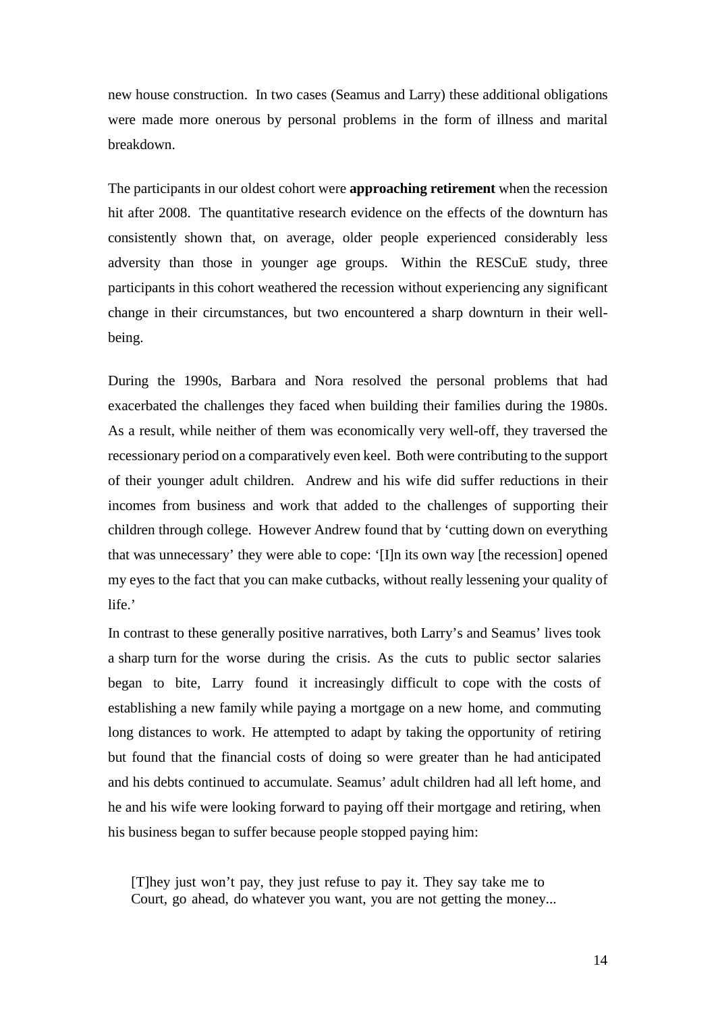new house construction. In two cases (Seamus and Larry) these additional obligations were made more onerous by personal problems in the form of illness and marital breakdown.

The participants in our oldest cohort were **approaching retirement** when the recession hit after 2008. The quantitative research evidence on the effects of the downturn has consistently shown that, on average, older people experienced considerably less adversity than those in younger age groups. Within the RESCuE study, three participants in this cohort weathered the recession without experiencing any significant change in their circumstances, but two encountered a sharp downturn in their wellbeing.

During the 1990s, Barbara and Nora resolved the personal problems that had exacerbated the challenges they faced when building their families during the 1980s. As a result, while neither of them was economically very well-off, they traversed the recessionary period on a comparatively even keel. Both were contributing to the support of their younger adult children. Andrew and his wife did suffer reductions in their incomes from business and work that added to the challenges of supporting their children through college. However Andrew found that by 'cutting down on everything that was unnecessary' they were able to cope: '[I]n its own way [the recession] opened my eyes to the fact that you can make cutbacks, without really lessening your quality of life.'

In contrast to these generally positive narratives, both Larry's and Seamus' lives took a sharp turn for the worse during the crisis. As the cuts to public sector salaries began to bite, Larry found it increasingly difficult to cope with the costs of establishing a new family while paying a mortgage on a new home, and commuting long distances to work. He attempted to adapt by taking the opportunity of retiring but found that the financial costs of doing so were greater than he had anticipated and his debts continued to accumulate. Seamus' adult children had all left home, and he and his wife were looking forward to paying off their mortgage and retiring, when his business began to suffer because people stopped paying him:

[T]hey just won't pay, they just refuse to pay it. They say take me to Court, go ahead, do whatever you want, you are not getting the money...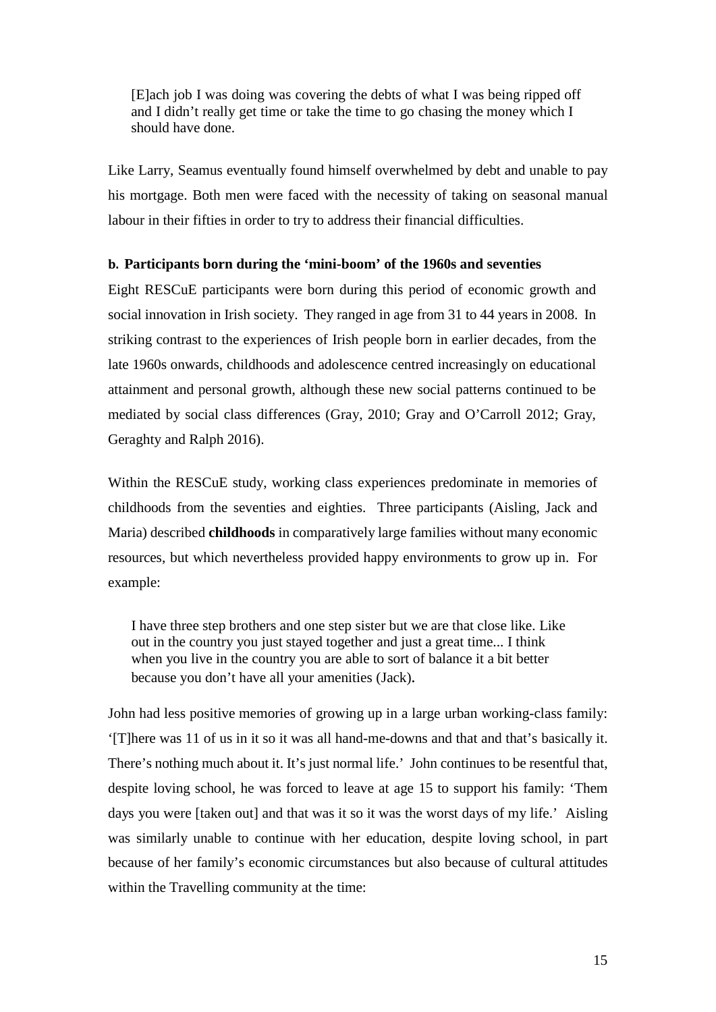[E]ach job I was doing was covering the debts of what I was being ripped off and I didn't really get time or take the time to go chasing the money which I should have done.

Like Larry, Seamus eventually found himself overwhelmed by debt and unable to pay his mortgage. Both men were faced with the necessity of taking on seasonal manual labour in their fifties in order to try to address their financial difficulties.

#### <span id="page-14-0"></span>**b. Participants born during the 'mini-boom' of the 1960s and seventies**

Eight RESCuE participants were born during this period of economic growth and social innovation in Irish society. They ranged in age from 31 to 44 years in 2008. In striking contrast to the experiences of Irish people born in earlier decades, from the late 1960s onwards, childhoods and adolescence centred increasingly on educational attainment and personal growth, although these new social patterns continued to be mediated by social class differences (Gray, 2010; Gray and O'Carroll 2012; Gray, Geraghty and Ralph 2016).

Within the RESCuE study, working class experiences predominate in memories of childhoods from the seventies and eighties. Three participants (Aisling, Jack and Maria) described **childhoods** in comparatively large families without many economic resources, but which nevertheless provided happy environments to grow up in. For example:

I have three step brothers and one step sister but we are that close like. Like out in the country you just stayed together and just a great time... I think when you live in the country you are able to sort of balance it a bit better because you don't have all your amenities (Jack).

John had less positive memories of growing up in a large urban working-class family: '[T]here was 11 of us in it so it was all hand-me-downs and that and that's basically it. There's nothing much about it. It's just normal life.' John continues to be resentful that, despite loving school, he was forced to leave at age 15 to support his family: 'Them days you were [taken out] and that was it so it was the worst days of my life.' Aisling was similarly unable to continue with her education, despite loving school, in part because of her family's economic circumstances but also because of cultural attitudes within the Travelling community at the time: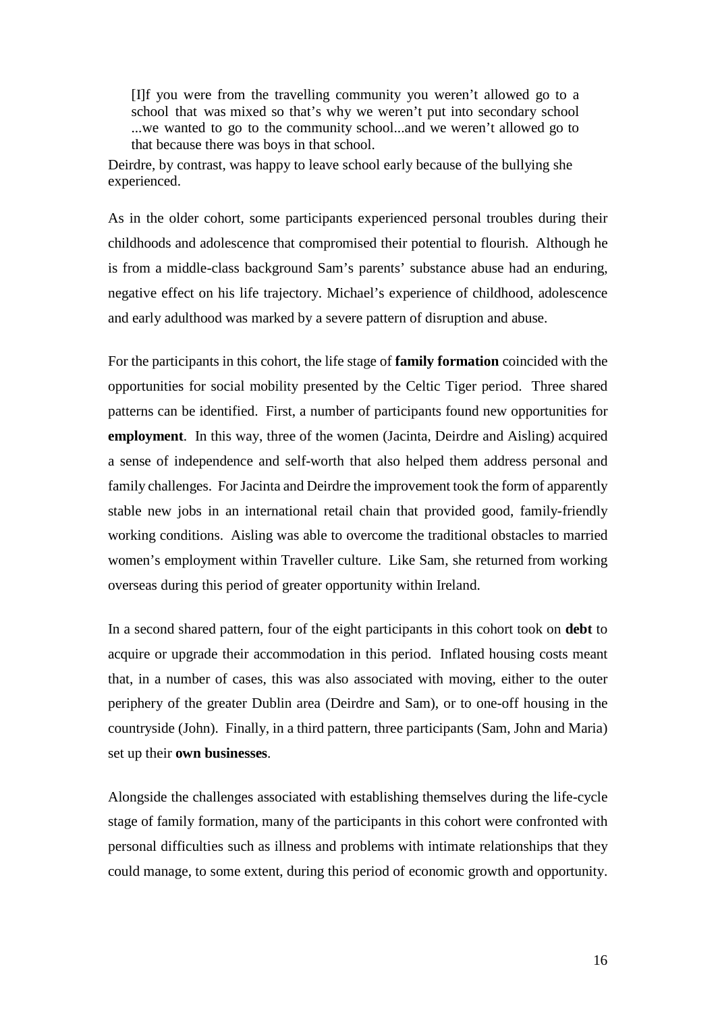[I]f you were from the travelling community you weren't allowed go to a school that was mixed so that's why we weren't put into secondary school ...we wanted to go to the community school...and we weren't allowed go to that because there was boys in that school.

Deirdre, by contrast, was happy to leave school early because of the bullying she experienced.

As in the older cohort, some participants experienced personal troubles during their childhoods and adolescence that compromised their potential to flourish. Although he is from a middle-class background Sam's parents' substance abuse had an enduring, negative effect on his life trajectory. Michael's experience of childhood, adolescence and early adulthood was marked by a severe pattern of disruption and abuse.

For the participants in this cohort, the life stage of **family formation** coincided with the opportunities for social mobility presented by the Celtic Tiger period. Three shared patterns can be identified. First, a number of participants found new opportunities for **employment**. In this way, three of the women (Jacinta, Deirdre and Aisling) acquired a sense of independence and self-worth that also helped them address personal and family challenges. For Jacinta and Deirdre the improvement took the form of apparently stable new jobs in an international retail chain that provided good, family-friendly working conditions. Aisling was able to overcome the traditional obstacles to married women's employment within Traveller culture. Like Sam, she returned from working overseas during this period of greater opportunity within Ireland.

In a second shared pattern, four of the eight participants in this cohort took on **debt** to acquire or upgrade their accommodation in this period. Inflated housing costs meant that, in a number of cases, this was also associated with moving, either to the outer periphery of the greater Dublin area (Deirdre and Sam), or to one-off housing in the countryside (John). Finally, in a third pattern, three participants (Sam, John and Maria) set up their **own businesses**.

Alongside the challenges associated with establishing themselves during the life-cycle stage of family formation, many of the participants in this cohort were confronted with personal difficulties such as illness and problems with intimate relationships that they could manage, to some extent, during this period of economic growth and opportunity.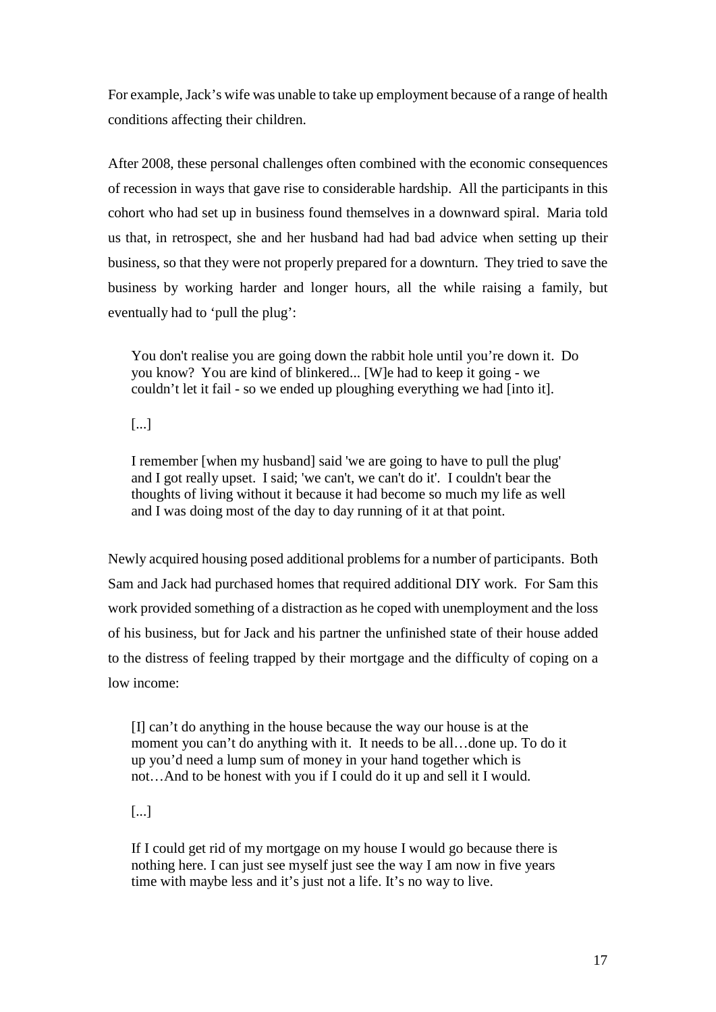For example, Jack's wife was unable to take up employment because of a range of health conditions affecting their children.

After 2008, these personal challenges often combined with the economic consequences of recession in ways that gave rise to considerable hardship. All the participants in this cohort who had set up in business found themselves in a downward spiral. Maria told us that, in retrospect, she and her husband had had bad advice when setting up their business, so that they were not properly prepared for a downturn. They tried to save the business by working harder and longer hours, all the while raising a family, but eventually had to 'pull the plug':

You don't realise you are going down the rabbit hole until you're down it. Do you know? You are kind of blinkered... [W]e had to keep it going - we couldn't let it fail - so we ended up ploughing everything we had [into it].

[...]

I remember [when my husband] said 'we are going to have to pull the plug' and I got really upset. I said; 'we can't, we can't do it'. I couldn't bear the thoughts of living without it because it had become so much my life as well and I was doing most of the day to day running of it at that point.

Newly acquired housing posed additional problems for a number of participants. Both Sam and Jack had purchased homes that required additional DIY work. For Sam this work provided something of a distraction as he coped with unemployment and the loss of his business, but for Jack and his partner the unfinished state of their house added to the distress of feeling trapped by their mortgage and the difficulty of coping on a low income:

[I] can't do anything in the house because the way our house is at the moment you can't do anything with it. It needs to be all…done up. To do it up you'd need a lump sum of money in your hand together which is not…And to be honest with you if I could do it up and sell it I would.

[...]

If I could get rid of my mortgage on my house I would go because there is nothing here. I can just see myself just see the way I am now in five years time with maybe less and it's just not a life. It's no way to live.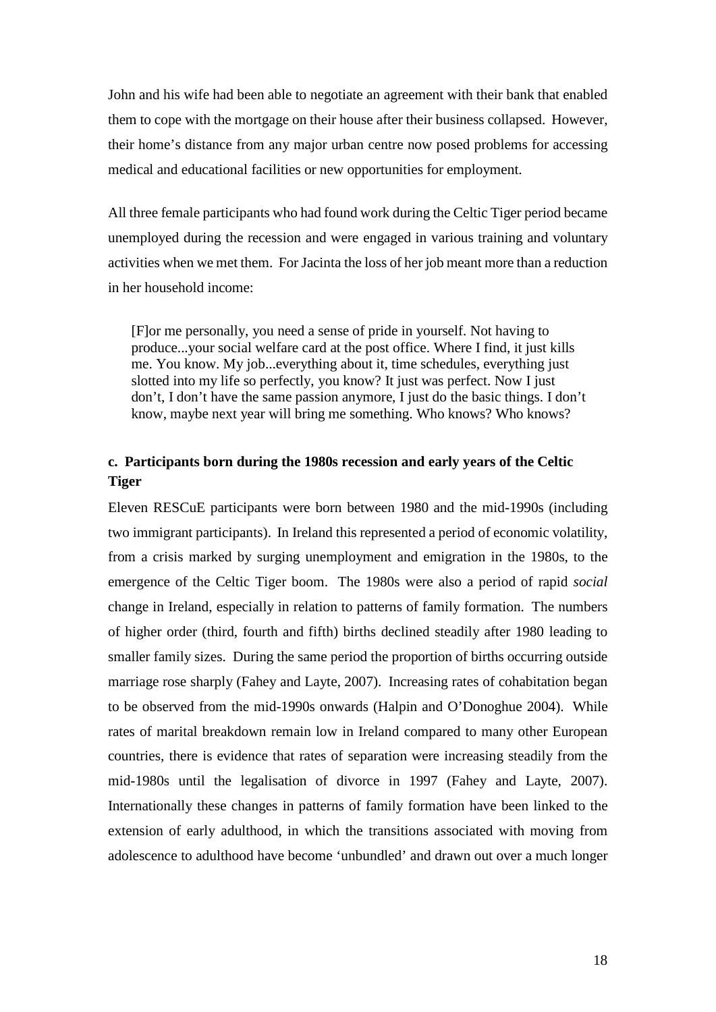John and his wife had been able to negotiate an agreement with their bank that enabled them to cope with the mortgage on their house after their business collapsed. However, their home's distance from any major urban centre now posed problems for accessing medical and educational facilities or new opportunities for employment.

All three female participants who had found work during the Celtic Tiger period became unemployed during the recession and were engaged in various training and voluntary activities when we met them. For Jacinta the loss of her job meant more than a reduction in her household income:

[F]or me personally, you need a sense of pride in yourself. Not having to produce...your social welfare card at the post office. Where I find, it just kills me. You know. My job...everything about it, time schedules, everything just slotted into my life so perfectly, you know? It just was perfect. Now I just don't, I don't have the same passion anymore, I just do the basic things. I don't know, maybe next year will bring me something. Who knows? Who knows?

#### <span id="page-17-0"></span>**c. Participants born during the 1980s recession and early years of the Celtic Tiger**

Eleven RESCuE participants were born between 1980 and the mid-1990s (including two immigrant participants). In Ireland this represented a period of economic volatility, from a crisis marked by surging unemployment and emigration in the 1980s, to the emergence of the Celtic Tiger boom. The 1980s were also a period of rapid *social*  change in Ireland, especially in relation to patterns of family formation. The numbers of higher order (third, fourth and fifth) births declined steadily after 1980 leading to smaller family sizes. During the same period the proportion of births occurring outside marriage rose sharply (Fahey and Layte, 2007). Increasing rates of cohabitation began to be observed from the mid-1990s onwards (Halpin and O'Donoghue 2004). While rates of marital breakdown remain low in Ireland compared to many other European countries, there is evidence that rates of separation were increasing steadily from the mid-1980s until the legalisation of divorce in 1997 (Fahey and Layte, 2007). Internationally these changes in patterns of family formation have been linked to the extension of early adulthood, in which the transitions associated with moving from adolescence to adulthood have become 'unbundled' and drawn out over a much longer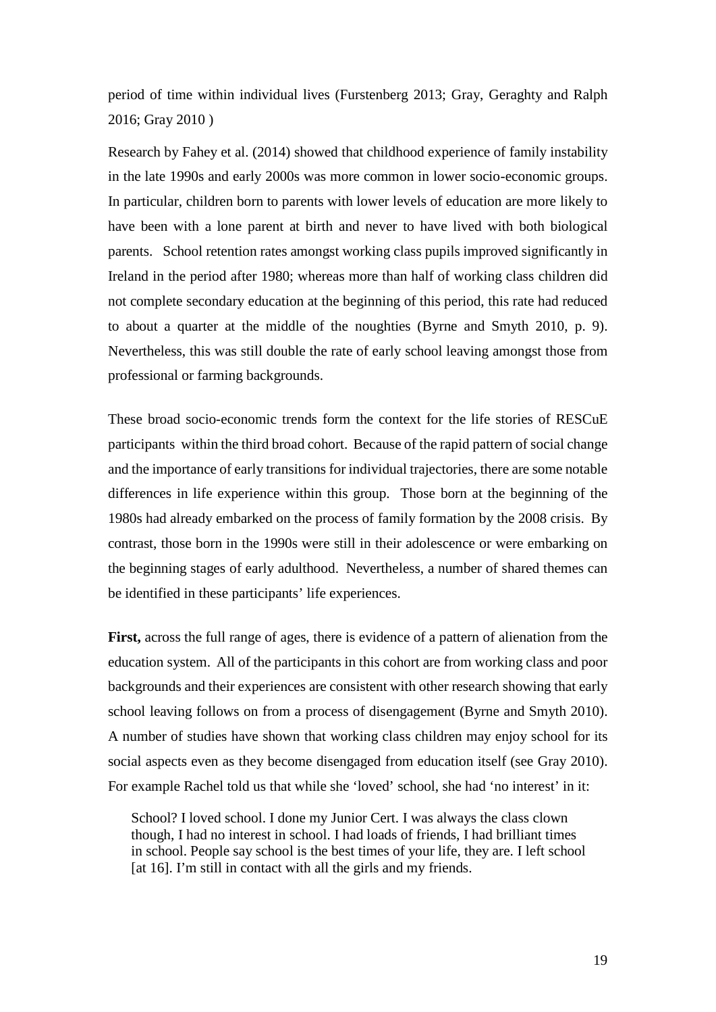period of time within individual lives (Furstenberg 2013; Gray, Geraghty and Ralph 2016; Gray 2010 )

Research by Fahey et al. (2014) showed that childhood experience of family instability in the late 1990s and early 2000s was more common in lower socio-economic groups. In particular, children born to parents with lower levels of education are more likely to have been with a lone parent at birth and never to have lived with both biological parents. School retention rates amongst working class pupils improved significantly in Ireland in the period after 1980; whereas more than half of working class children did not complete secondary education at the beginning of this period, this rate had reduced to about a quarter at the middle of the noughties (Byrne and Smyth 2010, p. 9). Nevertheless, this was still double the rate of early school leaving amongst those from professional or farming backgrounds.

These broad socio-economic trends form the context for the life stories of RESCuE participants within the third broad cohort. Because of the rapid pattern of social change and the importance of early transitions for individual trajectories, there are some notable differences in life experience within this group. Those born at the beginning of the 1980s had already embarked on the process of family formation by the 2008 crisis. By contrast, those born in the 1990s were still in their adolescence or were embarking on the beginning stages of early adulthood. Nevertheless, a number of shared themes can be identified in these participants' life experiences.

**First,** across the full range of ages, there is evidence of a pattern of alienation from the education system. All of the participants in this cohort are from working class and poor backgrounds and their experiences are consistent with other research showing that early school leaving follows on from a process of disengagement (Byrne and Smyth 2010). A number of studies have shown that working class children may enjoy school for its social aspects even as they become disengaged from education itself (see Gray 2010). For example Rachel told us that while she 'loved' school, she had 'no interest' in it:

School? I loved school. I done my Junior Cert. I was always the class clown though, I had no interest in school. I had loads of friends, I had brilliant times in school. People say school is the best times of your life, they are. I left school [at 16]. I'm still in contact with all the girls and my friends.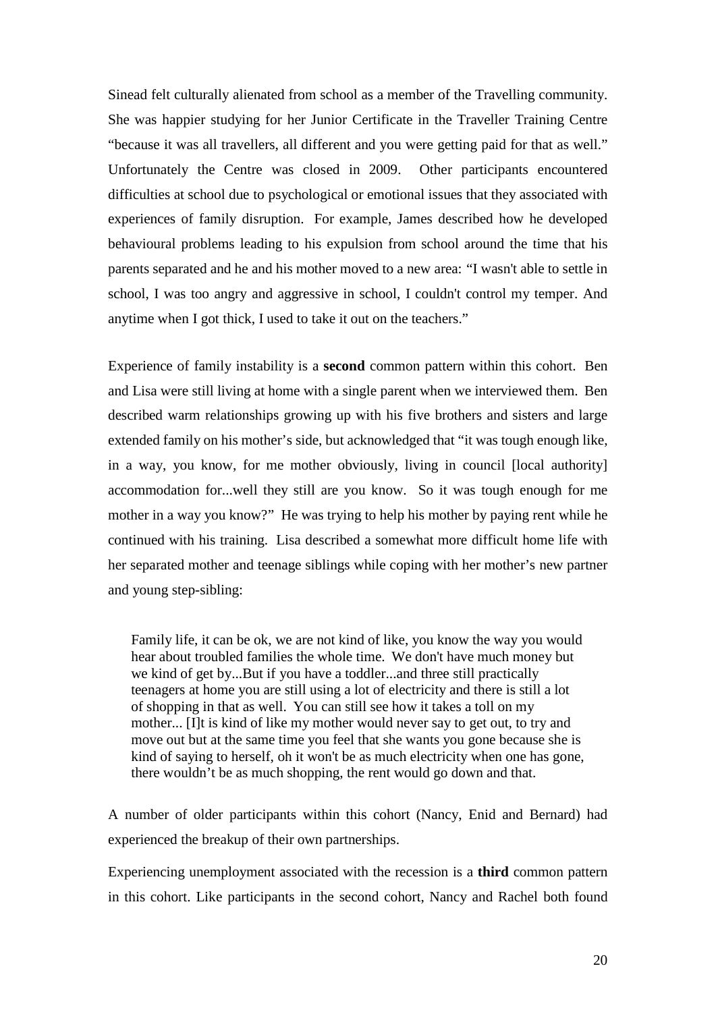Sinead felt culturally alienated from school as a member of the Travelling community. She was happier studying for her Junior Certificate in the Traveller Training Centre "because it was all travellers, all different and you were getting paid for that as well." Unfortunately the Centre was closed in 2009. Other participants encountered difficulties at school due to psychological or emotional issues that they associated with experiences of family disruption. For example, James described how he developed behavioural problems leading to his expulsion from school around the time that his parents separated and he and his mother moved to a new area: "I wasn't able to settle in school, I was too angry and aggressive in school, I couldn't control my temper. And anytime when I got thick, I used to take it out on the teachers."

Experience of family instability is a **second** common pattern within this cohort. Ben and Lisa were still living at home with a single parent when we interviewed them. Ben described warm relationships growing up with his five brothers and sisters and large extended family on his mother's side, but acknowledged that "it was tough enough like, in a way, you know, for me mother obviously, living in council [local authority] accommodation for...well they still are you know. So it was tough enough for me mother in a way you know?" He was trying to help his mother by paying rent while he continued with his training. Lisa described a somewhat more difficult home life with her separated mother and teenage siblings while coping with her mother's new partner and young step-sibling:

Family life, it can be ok, we are not kind of like, you know the way you would hear about troubled families the whole time. We don't have much money but we kind of get by...But if you have a toddler...and three still practically teenagers at home you are still using a lot of electricity and there is still a lot of shopping in that as well. You can still see how it takes a toll on my mother... [I]t is kind of like my mother would never say to get out, to try and move out but at the same time you feel that she wants you gone because she is kind of saying to herself, oh it won't be as much electricity when one has gone, there wouldn't be as much shopping, the rent would go down and that.

A number of older participants within this cohort (Nancy, Enid and Bernard) had experienced the breakup of their own partnerships.

Experiencing unemployment associated with the recession is a **third** common pattern in this cohort. Like participants in the second cohort, Nancy and Rachel both found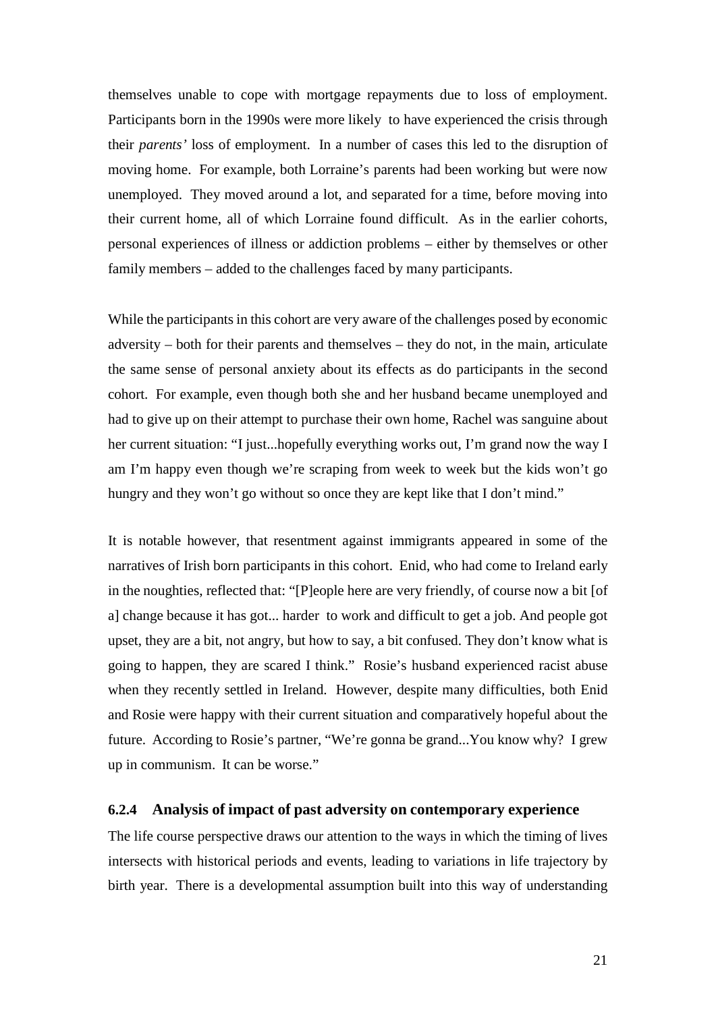themselves unable to cope with mortgage repayments due to loss of employment. Participants born in the 1990s were more likely to have experienced the crisis through their *parents'* loss of employment. In a number of cases this led to the disruption of moving home. For example, both Lorraine's parents had been working but were now unemployed. They moved around a lot, and separated for a time, before moving into their current home, all of which Lorraine found difficult. As in the earlier cohorts, personal experiences of illness or addiction problems – either by themselves or other family members – added to the challenges faced by many participants.

While the participants in this cohort are very aware of the challenges posed by economic adversity – both for their parents and themselves – they do not, in the main, articulate the same sense of personal anxiety about its effects as do participants in the second cohort. For example, even though both she and her husband became unemployed and had to give up on their attempt to purchase their own home, Rachel was sanguine about her current situation: "I just...hopefully everything works out, I'm grand now the way I am I'm happy even though we're scraping from week to week but the kids won't go hungry and they won't go without so once they are kept like that I don't mind."

It is notable however, that resentment against immigrants appeared in some of the narratives of Irish born participants in this cohort. Enid, who had come to Ireland early in the noughties, reflected that: "[P]eople here are very friendly, of course now a bit [of a] change because it has got... harder to work and difficult to get a job. And people got upset, they are a bit, not angry, but how to say, a bit confused. They don't know what is going to happen, they are scared I think." Rosie's husband experienced racist abuse when they recently settled in Ireland. However, despite many difficulties, both Enid and Rosie were happy with their current situation and comparatively hopeful about the future. According to Rosie's partner, "We're gonna be grand...You know why? I grew up in communism. It can be worse."

#### <span id="page-20-0"></span>**6.2.4 Analysis of impact of past adversity on contemporary experience**

The life course perspective draws our attention to the ways in which the timing of lives intersects with historical periods and events, leading to variations in life trajectory by birth year. There is a developmental assumption built into this way of understanding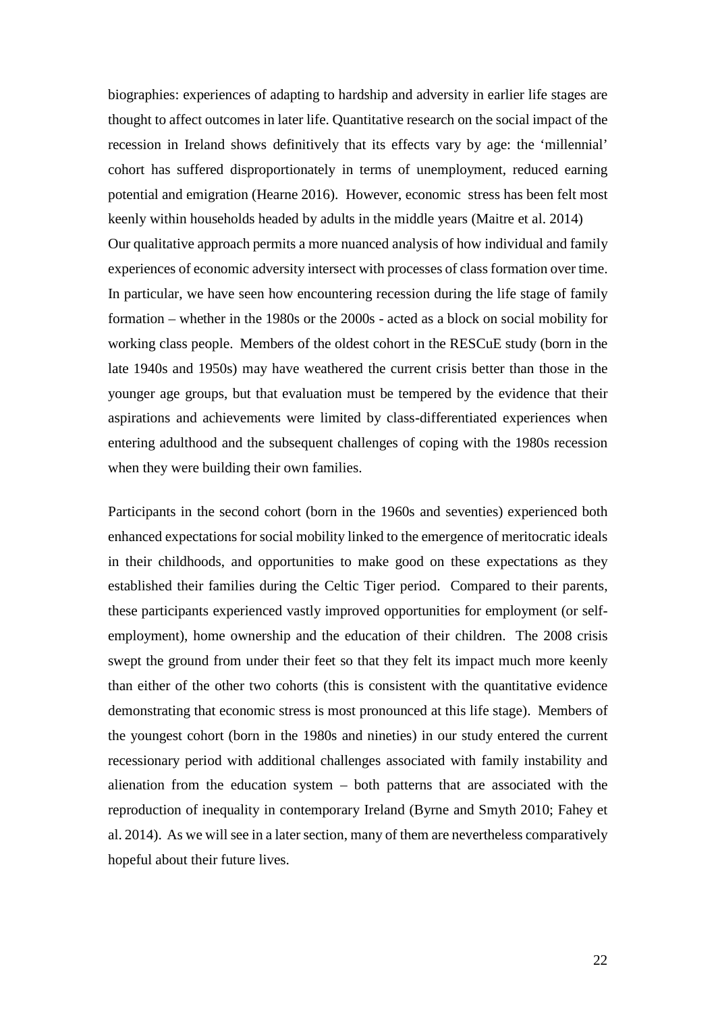biographies: experiences of adapting to hardship and adversity in earlier life stages are thought to affect outcomes in later life. Quantitative research on the social impact of the recession in Ireland shows definitively that its effects vary by age: the 'millennial' cohort has suffered disproportionately in terms of unemployment, reduced earning potential and emigration (Hearne 2016). However, economic stress has been felt most keenly within households headed by adults in the middle years (Maitre et al. 2014) Our qualitative approach permits a more nuanced analysis of how individual and family experiences of economic adversity intersect with processes of classformation over time. In particular, we have seen how encountering recession during the life stage of family formation – whether in the 1980s or the 2000s - acted as a block on social mobility for working class people. Members of the oldest cohort in the RESCuE study (born in the late 1940s and 1950s) may have weathered the current crisis better than those in the younger age groups, but that evaluation must be tempered by the evidence that their aspirations and achievements were limited by class-differentiated experiences when entering adulthood and the subsequent challenges of coping with the 1980s recession when they were building their own families.

Participants in the second cohort (born in the 1960s and seventies) experienced both enhanced expectations for social mobility linked to the emergence of meritocratic ideals in their childhoods, and opportunities to make good on these expectations as they established their families during the Celtic Tiger period. Compared to their parents, these participants experienced vastly improved opportunities for employment (or selfemployment), home ownership and the education of their children. The 2008 crisis swept the ground from under their feet so that they felt its impact much more keenly than either of the other two cohorts (this is consistent with the quantitative evidence demonstrating that economic stress is most pronounced at this life stage). Members of the youngest cohort (born in the 1980s and nineties) in our study entered the current recessionary period with additional challenges associated with family instability and alienation from the education system – both patterns that are associated with the reproduction of inequality in contemporary Ireland (Byrne and Smyth 2010; Fahey et al. 2014). As we will see in a later section, many of them are nevertheless comparatively hopeful about their future lives.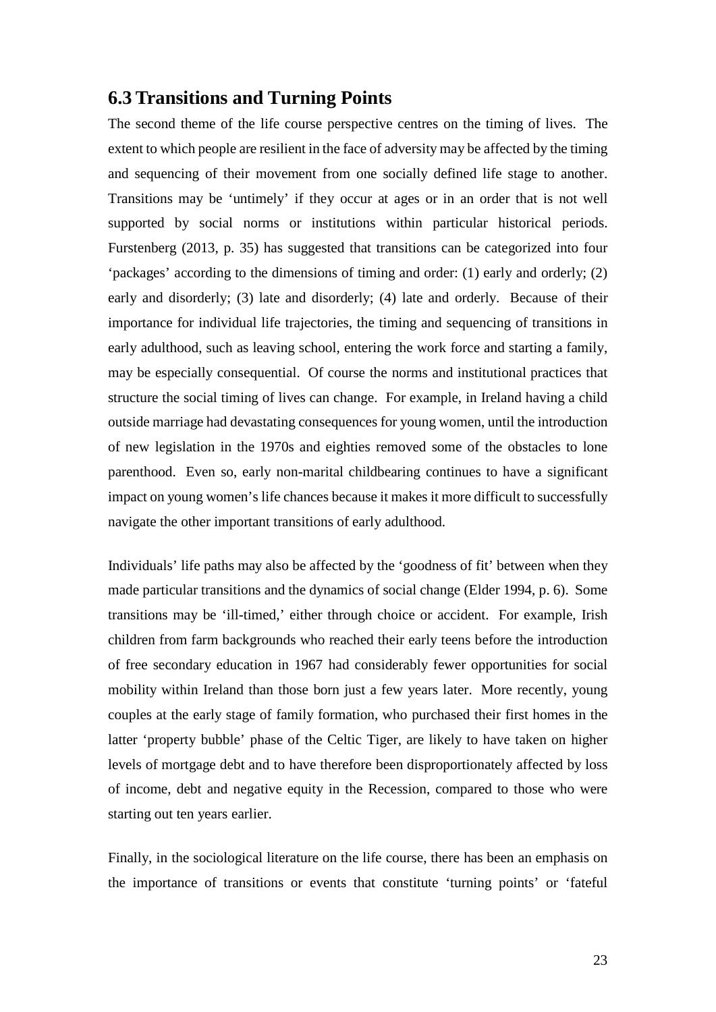### <span id="page-22-0"></span>**6.3 Transitions and Turning Points**

The second theme of the life course perspective centres on the timing of lives. The extent to which people are resilient in the face of adversity may be affected by the timing and sequencing of their movement from one socially defined life stage to another. Transitions may be 'untimely' if they occur at ages or in an order that is not well supported by social norms or institutions within particular historical periods. Furstenberg (2013, p. 35) has suggested that transitions can be categorized into four 'packages' according to the dimensions of timing and order: (1) early and orderly; (2) early and disorderly; (3) late and disorderly; (4) late and orderly. Because of their importance for individual life trajectories, the timing and sequencing of transitions in early adulthood, such as leaving school, entering the work force and starting a family, may be especially consequential. Of course the norms and institutional practices that structure the social timing of lives can change. For example, in Ireland having a child outside marriage had devastating consequences for young women, until the introduction of new legislation in the 1970s and eighties removed some of the obstacles to lone parenthood. Even so, early non-marital childbearing continues to have a significant impact on young women's life chances because it makes it more difficult to successfully navigate the other important transitions of early adulthood.

Individuals' life paths may also be affected by the 'goodness of fit' between when they made particular transitions and the dynamics of social change (Elder 1994, p. 6). Some transitions may be 'ill-timed,' either through choice or accident. For example, Irish children from farm backgrounds who reached their early teens before the introduction of free secondary education in 1967 had considerably fewer opportunities for social mobility within Ireland than those born just a few years later. More recently, young couples at the early stage of family formation, who purchased their first homes in the latter 'property bubble' phase of the Celtic Tiger, are likely to have taken on higher levels of mortgage debt and to have therefore been disproportionately affected by loss of income, debt and negative equity in the Recession, compared to those who were starting out ten years earlier.

Finally, in the sociological literature on the life course, there has been an emphasis on the importance of transitions or events that constitute 'turning points' or 'fateful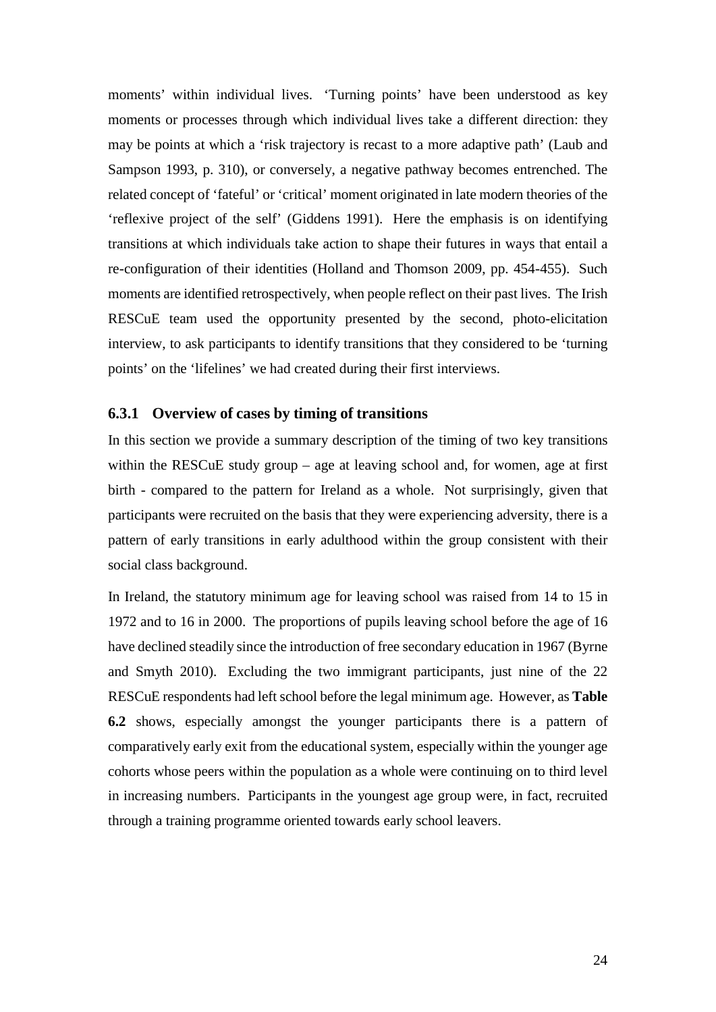moments' within individual lives. 'Turning points' have been understood as key moments or processes through which individual lives take a different direction: they may be points at which a 'risk trajectory is recast to a more adaptive path' (Laub and Sampson 1993, p. 310), or conversely, a negative pathway becomes entrenched. The related concept of 'fateful' or 'critical' moment originated in late modern theories of the 'reflexive project of the self' (Giddens 1991). Here the emphasis is on identifying transitions at which individuals take action to shape their futures in ways that entail a re-configuration of their identities (Holland and Thomson 2009, pp. 454-455). Such moments are identified retrospectively, when people reflect on their past lives. The Irish RESCuE team used the opportunity presented by the second, photo-elicitation interview, to ask participants to identify transitions that they considered to be 'turning points' on the 'lifelines' we had created during their first interviews.

#### <span id="page-23-0"></span>**6.3.1 Overview of cases by timing of transitions**

In this section we provide a summary description of the timing of two key transitions within the RESCuE study group – age at leaving school and, for women, age at first birth - compared to the pattern for Ireland as a whole. Not surprisingly, given that participants were recruited on the basis that they were experiencing adversity, there is a pattern of early transitions in early adulthood within the group consistent with their social class background.

In Ireland, the statutory minimum age for leaving school was raised from 14 to 15 in 1972 and to 16 in 2000. The proportions of pupils leaving school before the age of 16 have declined steadily since the introduction of free secondary education in 1967 (Byrne and Smyth 2010). Excluding the two immigrant participants, just nine of the 22 RESCuE respondents had left school before the legal minimum age. However, as **Table 6.2** shows, especially amongst the younger participants there is a pattern of comparatively early exit from the educational system, especially within the younger age cohorts whose peers within the population as a whole were continuing on to third level in increasing numbers. Participants in the youngest age group were, in fact, recruited through a training programme oriented towards early school leavers.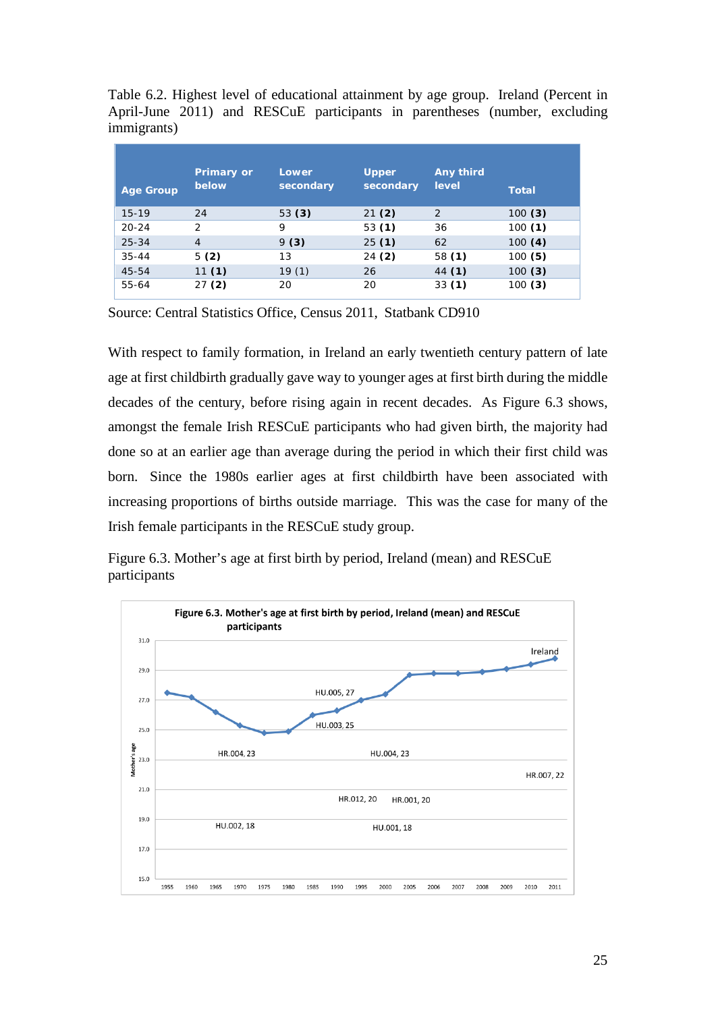Table 6.2. Highest level of educational attainment by age group. Ireland (Percent in April-June 2011) and RESCuE participants in parentheses (number, excluding immigrants)

| <b>Age Group</b> | <b>Primary or</b><br>below | Lower<br>secondary | <b>Upper</b><br>secondary | Any third<br>level | <b>Total</b> |
|------------------|----------------------------|--------------------|---------------------------|--------------------|--------------|
| $15-19$          | 24                         | 53 $(3)$           | 21(2)                     | 2                  | 100(3)       |
| $20 - 24$        | $\mathcal{P}$              | 9                  | 53(1)                     | 36                 | 100(1)       |
| $25 - 34$        | $\overline{4}$             | 9(3)               | 25(1)                     | 62                 | 100(4)       |
| $35 - 44$        | 5(2)                       | 13                 | 24 (2)                    | 58(1)              | 100(5)       |
| 45-54            | 11(1)                      | 19(1)              | 26                        | 44 (1)             | 100(3)       |
| 55-64            | 27(2)                      | 20                 | 20                        | 33(1)              | 100 (3)      |

Source: Central Statistics Office, Census 2011, Statbank CD910

With respect to family formation, in Ireland an early twentieth century pattern of late age at first childbirth gradually gave way to younger ages at first birth during the middle decades of the century, before rising again in recent decades. As Figure 6.3 shows, amongst the female Irish RESCuE participants who had given birth, the majority had done so at an earlier age than average during the period in which their first child was born. Since the 1980s earlier ages at first childbirth have been associated with increasing proportions of births outside marriage. This was the case for many of the Irish female participants in the RESCuE study group.

Figure 6.3. Mother's age at first birth by period, Ireland (mean) and RESCuE participants

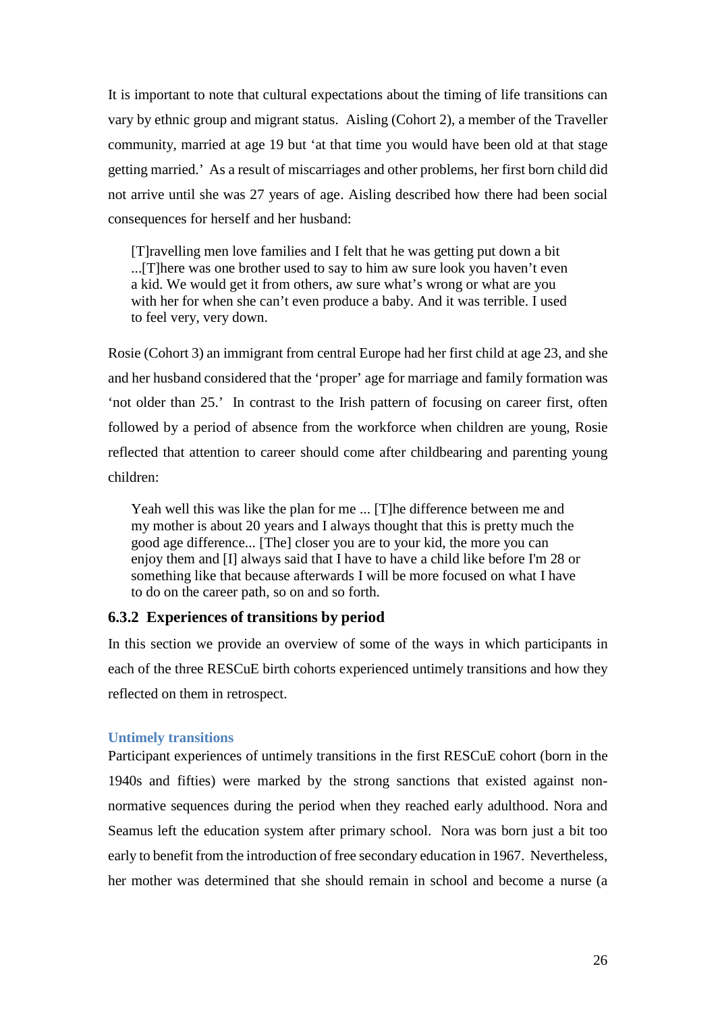It is important to note that cultural expectations about the timing of life transitions can vary by ethnic group and migrant status. Aisling (Cohort 2), a member of the Traveller community, married at age 19 but 'at that time you would have been old at that stage getting married.' As a result of miscarriages and other problems, her first born child did not arrive until she was 27 years of age. Aisling described how there had been social consequences for herself and her husband:

[T]ravelling men love families and I felt that he was getting put down a bit ...[T]here was one brother used to say to him aw sure look you haven't even a kid. We would get it from others, aw sure what's wrong or what are you with her for when she can't even produce a baby. And it was terrible. I used to feel very, very down.

Rosie (Cohort 3) an immigrant from central Europe had her first child at age 23, and she and her husband considered that the 'proper' age for marriage and family formation was 'not older than 25.' In contrast to the Irish pattern of focusing on career first, often followed by a period of absence from the workforce when children are young, Rosie reflected that attention to career should come after childbearing and parenting young children:

Yeah well this was like the plan for me ... [T]he difference between me and my mother is about 20 years and I always thought that this is pretty much the good age difference... [The] closer you are to your kid, the more you can enjoy them and [I] always said that I have to have a child like before I'm 28 or something like that because afterwards I will be more focused on what I have to do on the career path, so on and so forth.

#### **6.3.2 Experiences of transitions by period**

In this section we provide an overview of some of the ways in which participants in each of the three RESCuE birth cohorts experienced untimely transitions and how they reflected on them in retrospect.

#### <span id="page-25-0"></span>**Untimely transitions**

Participant experiences of untimely transitions in the first RESCuE cohort (born in the 1940s and fifties) were marked by the strong sanctions that existed against nonnormative sequences during the period when they reached early adulthood. Nora and Seamus left the education system after primary school. Nora was born just a bit too early to benefit from the introduction of free secondary education in 1967. Nevertheless, her mother was determined that she should remain in school and become a nurse (a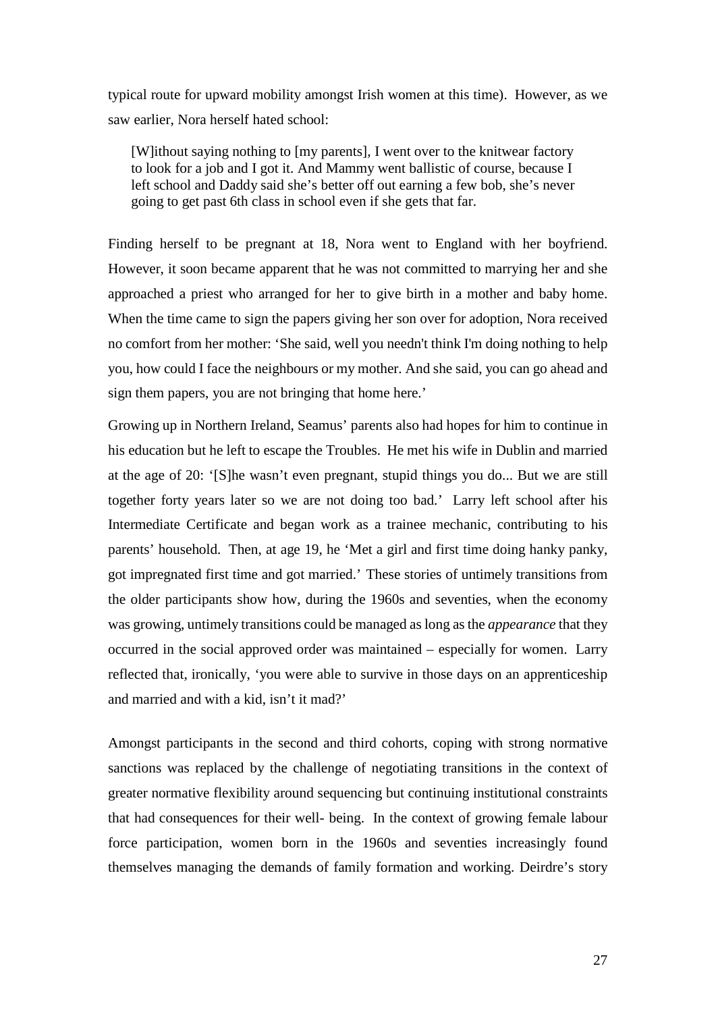typical route for upward mobility amongst Irish women at this time). However, as we saw earlier, Nora herself hated school:

[W]ithout saying nothing to [my parents], I went over to the knitwear factory to look for a job and I got it. And Mammy went ballistic of course, because I left school and Daddy said she's better off out earning a few bob, she's never going to get past 6th class in school even if she gets that far.

Finding herself to be pregnant at 18, Nora went to England with her boyfriend. However, it soon became apparent that he was not committed to marrying her and she approached a priest who arranged for her to give birth in a mother and baby home. When the time came to sign the papers giving her son over for adoption, Nora received no comfort from her mother: 'She said, well you needn't think I'm doing nothing to help you, how could I face the neighbours or my mother. And she said, you can go ahead and sign them papers, you are not bringing that home here.'

Growing up in Northern Ireland, Seamus' parents also had hopes for him to continue in his education but he left to escape the Troubles. He met his wife in Dublin and married at the age of 20: '[S]he wasn't even pregnant, stupid things you do... But we are still together forty years later so we are not doing too bad.' Larry left school after his Intermediate Certificate and began work as a trainee mechanic, contributing to his parents' household. Then, at age 19, he 'Met a girl and first time doing hanky panky, got impregnated first time and got married.' These stories of untimely transitions from the older participants show how, during the 1960s and seventies, when the economy was growing, untimely transitions could be managed as long asthe *appearance* that they occurred in the social approved order was maintained – especially for women. Larry reflected that, ironically, 'you were able to survive in those days on an apprenticeship and married and with a kid, isn't it mad?'

Amongst participants in the second and third cohorts, coping with strong normative sanctions was replaced by the challenge of negotiating transitions in the context of greater normative flexibility around sequencing but continuing institutional constraints that had consequences for their well- being. In the context of growing female labour force participation, women born in the 1960s and seventies increasingly found themselves managing the demands of family formation and working. Deirdre's story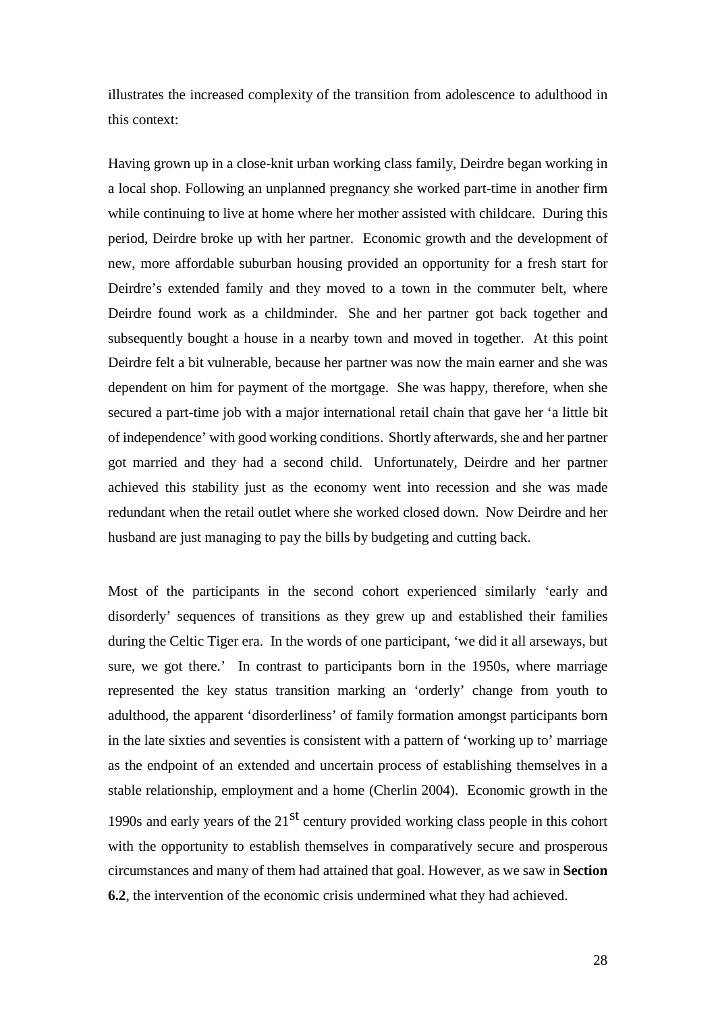illustrates the increased complexity of the transition from adolescence to adulthood in this context:

Having grown up in a close-knit urban working class family, Deirdre began working in a local shop. Following an unplanned pregnancy she worked part-time in another firm while continuing to live at home where her mother assisted with childcare. During this period, Deirdre broke up with her partner. Economic growth and the development of new, more affordable suburban housing provided an opportunity for a fresh start for Deirdre's extended family and they moved to a town in the commuter belt, where Deirdre found work as a childminder. She and her partner got back together and subsequently bought a house in a nearby town and moved in together. At this point Deirdre felt a bit vulnerable, because her partner was now the main earner and she was dependent on him for payment of the mortgage. She was happy, therefore, when she secured a part-time job with a major international retail chain that gave her 'a little bit of independence' with good working conditions. Shortly afterwards, she and her partner got married and they had a second child. Unfortunately, Deirdre and her partner achieved this stability just as the economy went into recession and she was made redundant when the retail outlet where she worked closed down. Now Deirdre and her husband are just managing to pay the bills by budgeting and cutting back.

Most of the participants in the second cohort experienced similarly 'early and disorderly' sequences of transitions as they grew up and established their families during the Celtic Tiger era. In the words of one participant, 'we did it all arseways, but sure, we got there.' In contrast to participants born in the 1950s, where marriage represented the key status transition marking an 'orderly' change from youth to adulthood, the apparent 'disorderliness' of family formation amongst participants born in the late sixties and seventies is consistent with a pattern of 'working up to' marriage as the endpoint of an extended and uncertain process of establishing themselves in a stable relationship, employment and a home (Cherlin 2004). Economic growth in the 1990s and early years of the  $21<sup>st</sup>$  century provided working class people in this cohort with the opportunity to establish themselves in comparatively secure and prosperous circumstances and many of them had attained that goal. However, as we saw in **Section 6.2**, the intervention of the economic crisis undermined what they had achieved.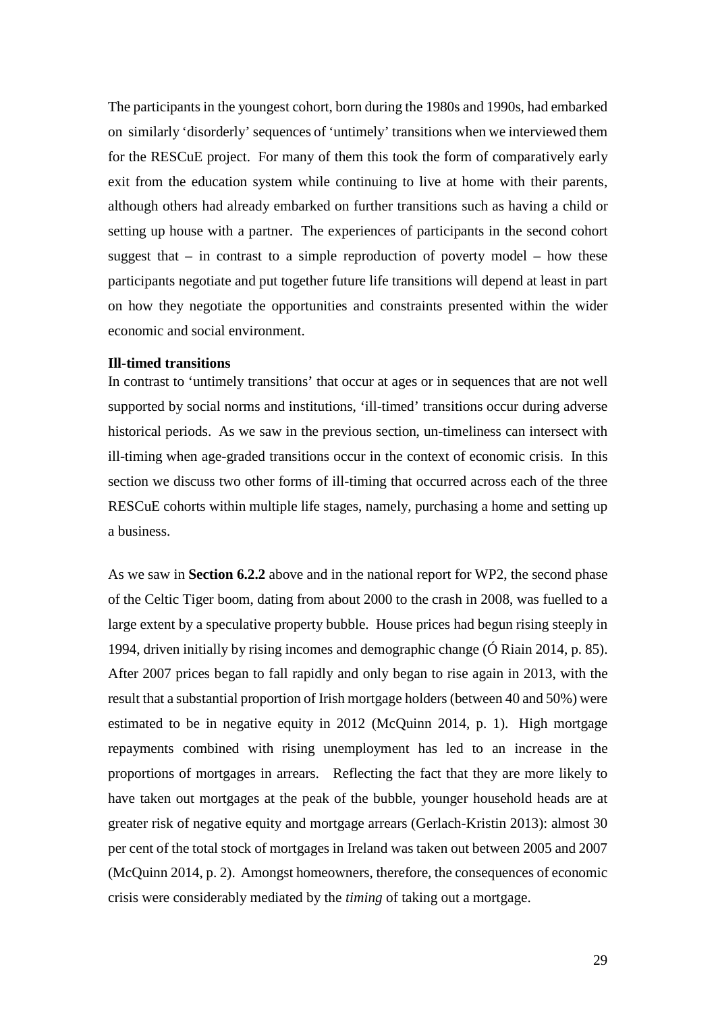The participants in the youngest cohort, born during the 1980s and 1990s, had embarked on similarly 'disorderly' sequences of 'untimely' transitions when we interviewed them for the RESCuE project. For many of them this took the form of comparatively early exit from the education system while continuing to live at home with their parents, although others had already embarked on further transitions such as having a child or setting up house with a partner. The experiences of participants in the second cohort suggest that  $-$  in contrast to a simple reproduction of poverty model  $-$  how these participants negotiate and put together future life transitions will depend at least in part on how they negotiate the opportunities and constraints presented within the wider economic and social environment.

#### <span id="page-28-0"></span>**Ill-timed transitions**

In contrast to 'untimely transitions' that occur at ages or in sequences that are not well supported by social norms and institutions, 'ill-timed' transitions occur during adverse historical periods. As we saw in the previous section, un-timeliness can intersect with ill-timing when age-graded transitions occur in the context of economic crisis. In this section we discuss two other forms of ill-timing that occurred across each of the three RESCuE cohorts within multiple life stages, namely, purchasing a home and setting up a business.

As we saw in **Section 6.2.2** above and in the national report for WP2, the second phase of the Celtic Tiger boom, dating from about 2000 to the crash in 2008, was fuelled to a large extent by a speculative property bubble. House prices had begun rising steeply in 1994, driven initially by rising incomes and demographic change (Ó Riain 2014, p. 85). After 2007 prices began to fall rapidly and only began to rise again in 2013, with the result that a substantial proportion of Irish mortgage holders (between 40 and 50%) were estimated to be in negative equity in 2012 (McQuinn 2014, p. 1). High mortgage repayments combined with rising unemployment has led to an increase in the proportions of mortgages in arrears. Reflecting the fact that they are more likely to have taken out mortgages at the peak of the bubble, younger household heads are at greater risk of negative equity and mortgage arrears (Gerlach-Kristin 2013): almost 30 per cent of the total stock of mortgages in Ireland was taken out between 2005 and 2007 (McQuinn 2014, p. 2). Amongst homeowners, therefore, the consequences of economic crisis were considerably mediated by the *timing* of taking out a mortgage.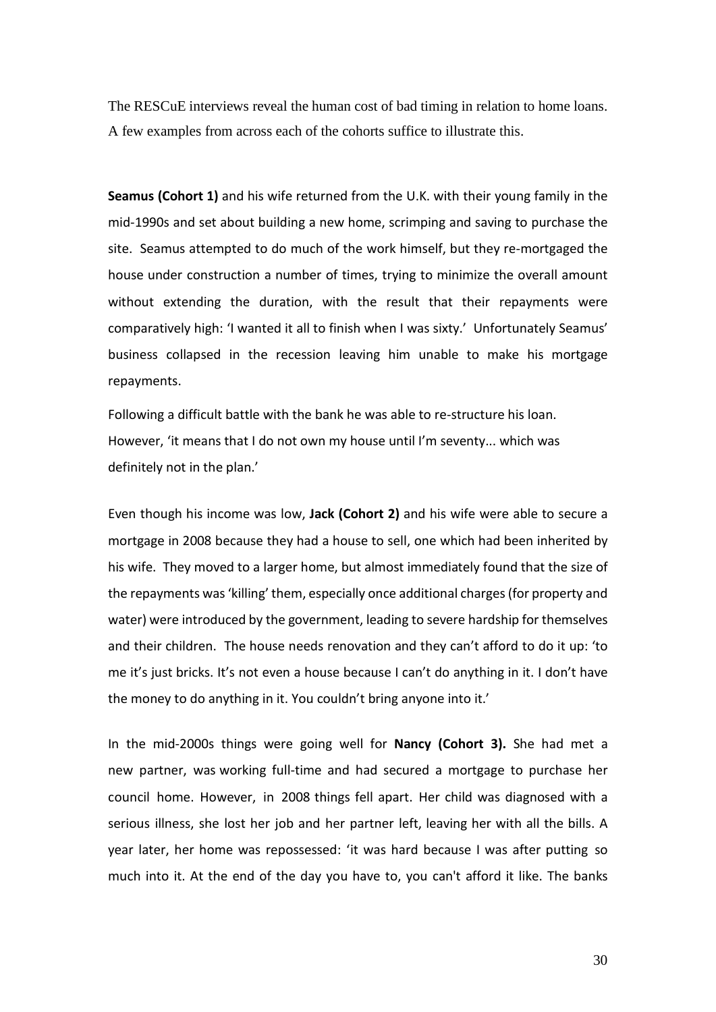The RESCuE interviews reveal the human cost of bad timing in relation to home loans. A few examples from across each of the cohorts suffice to illustrate this.

**Seamus (Cohort 1)** and his wife returned from the U.K. with their young family in the mid-1990s and set about building a new home, scrimping and saving to purchase the site. Seamus attempted to do much of the work himself, but they re-mortgaged the house under construction a number of times, trying to minimize the overall amount without extending the duration, with the result that their repayments were comparatively high: 'I wanted it all to finish when I was sixty.' Unfortunately Seamus' business collapsed in the recession leaving him unable to make his mortgage repayments.

Following a difficult battle with the bank he was able to re-structure his loan. However, 'it means that I do not own my house until I'm seventy... which was definitely not in the plan.'

Even though his income was low, **Jack (Cohort 2)** and his wife were able to secure a mortgage in 2008 because they had a house to sell, one which had been inherited by his wife. They moved to a larger home, but almost immediately found that the size of the repayments was'killing' them, especially once additional charges(for property and water) were introduced by the government, leading to severe hardship for themselves and their children. The house needs renovation and they can't afford to do it up: 'to me it's just bricks. It's not even a house because I can't do anything in it. I don't have the money to do anything in it. You couldn't bring anyone into it.'

In the mid-2000s things were going well for **Nancy (Cohort 3).** She had met a new partner, was working full-time and had secured a mortgage to purchase her council home. However, in 2008 things fell apart. Her child was diagnosed with a serious illness, she lost her job and her partner left, leaving her with all the bills. A year later, her home was repossessed: 'it was hard because I was after putting so much into it. At the end of the day you have to, you can't afford it like. The banks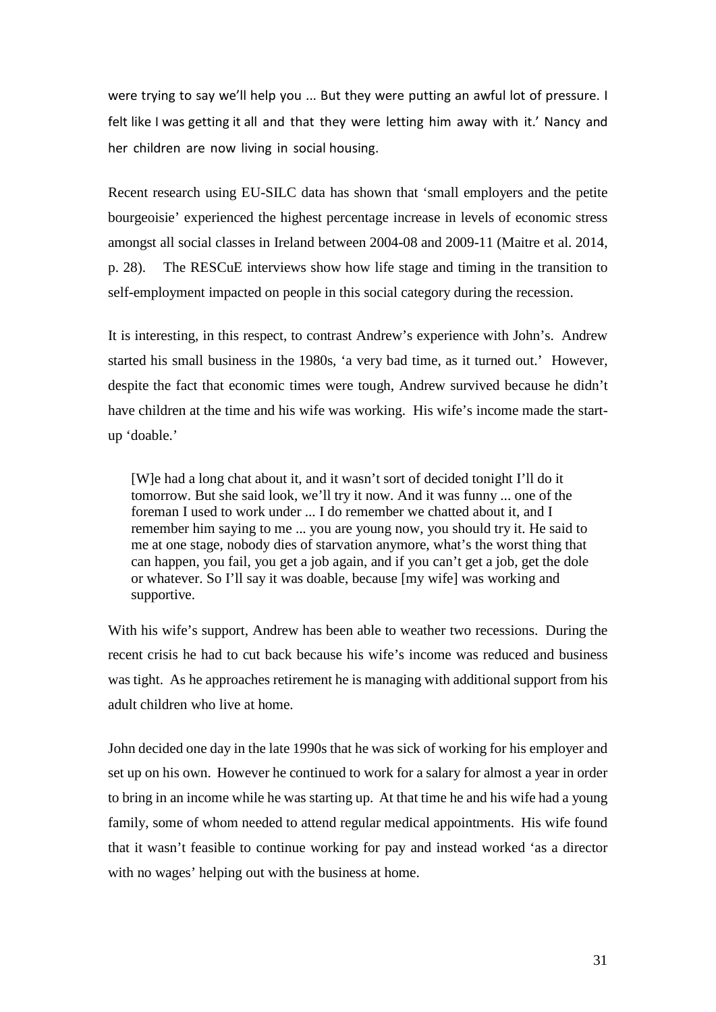were trying to say we'll help you ... But they were putting an awful lot of pressure. I felt like I was getting it all and that they were letting him away with it.' Nancy and her children are now living in social housing.

Recent research using EU-SILC data has shown that 'small employers and the petite bourgeoisie' experienced the highest percentage increase in levels of economic stress amongst all social classes in Ireland between 2004-08 and 2009-11 (Maitre et al. 2014, p. 28). The RESCuE interviews show how life stage and timing in the transition to self-employment impacted on people in this social category during the recession.

It is interesting, in this respect, to contrast Andrew's experience with John's. Andrew started his small business in the 1980s, 'a very bad time, as it turned out.' However, despite the fact that economic times were tough, Andrew survived because he didn't have children at the time and his wife was working. His wife's income made the startup 'doable.'

[W]e had a long chat about it, and it wasn't sort of decided tonight I'll do it tomorrow. But she said look, we'll try it now. And it was funny ... one of the foreman I used to work under ... I do remember we chatted about it, and I remember him saying to me ... you are young now, you should try it. He said to me at one stage, nobody dies of starvation anymore, what's the worst thing that can happen, you fail, you get a job again, and if you can't get a job, get the dole or whatever. So I'll say it was doable, because [my wife] was working and supportive.

With his wife's support, Andrew has been able to weather two recessions. During the recent crisis he had to cut back because his wife's income was reduced and business was tight. As he approaches retirement he is managing with additional support from his adult children who live at home.

John decided one day in the late 1990s that he was sick of working for his employer and set up on his own. However he continued to work for a salary for almost a year in order to bring in an income while he was starting up. At that time he and his wife had a young family, some of whom needed to attend regular medical appointments. His wife found that it wasn't feasible to continue working for pay and instead worked 'as a director with no wages' helping out with the business at home.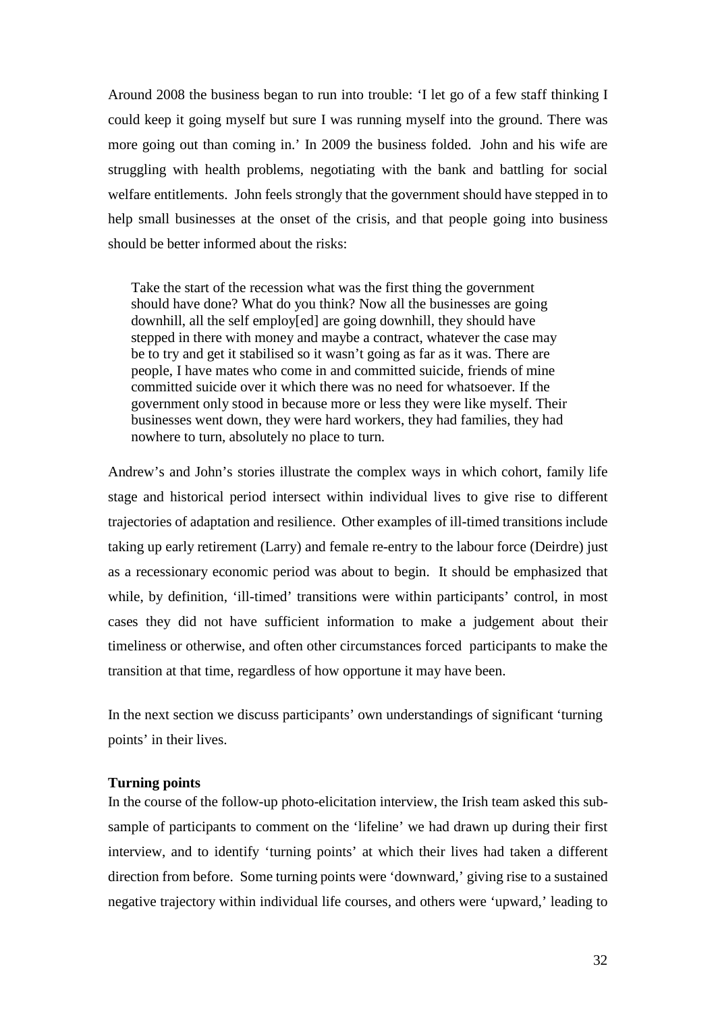Around 2008 the business began to run into trouble: 'I let go of a few staff thinking I could keep it going myself but sure I was running myself into the ground. There was more going out than coming in.' In 2009 the business folded. John and his wife are struggling with health problems, negotiating with the bank and battling for social welfare entitlements. John feels strongly that the government should have stepped in to help small businesses at the onset of the crisis, and that people going into business should be better informed about the risks:

Take the start of the recession what was the first thing the government should have done? What do you think? Now all the businesses are going downhill, all the self employ[ed] are going downhill, they should have stepped in there with money and maybe a contract, whatever the case may be to try and get it stabilised so it wasn't going as far as it was. There are people, I have mates who come in and committed suicide, friends of mine committed suicide over it which there was no need for whatsoever. If the government only stood in because more or less they were like myself. Their businesses went down, they were hard workers, they had families, they had nowhere to turn, absolutely no place to turn.

Andrew's and John's stories illustrate the complex ways in which cohort, family life stage and historical period intersect within individual lives to give rise to different trajectories of adaptation and resilience. Other examples of ill-timed transitions include taking up early retirement (Larry) and female re-entry to the labour force (Deirdre) just as a recessionary economic period was about to begin. It should be emphasized that while, by definition, 'ill-timed' transitions were within participants' control, in most cases they did not have sufficient information to make a judgement about their timeliness or otherwise, and often other circumstances forced participants to make the transition at that time, regardless of how opportune it may have been.

In the next section we discuss participants' own understandings of significant 'turning points' in their lives.

#### <span id="page-31-0"></span>**Turning points**

In the course of the follow-up photo-elicitation interview, the Irish team asked this subsample of participants to comment on the 'lifeline' we had drawn up during their first interview, and to identify 'turning points' at which their lives had taken a different direction from before. Some turning points were 'downward,' giving rise to a sustained negative trajectory within individual life courses, and others were 'upward,' leading to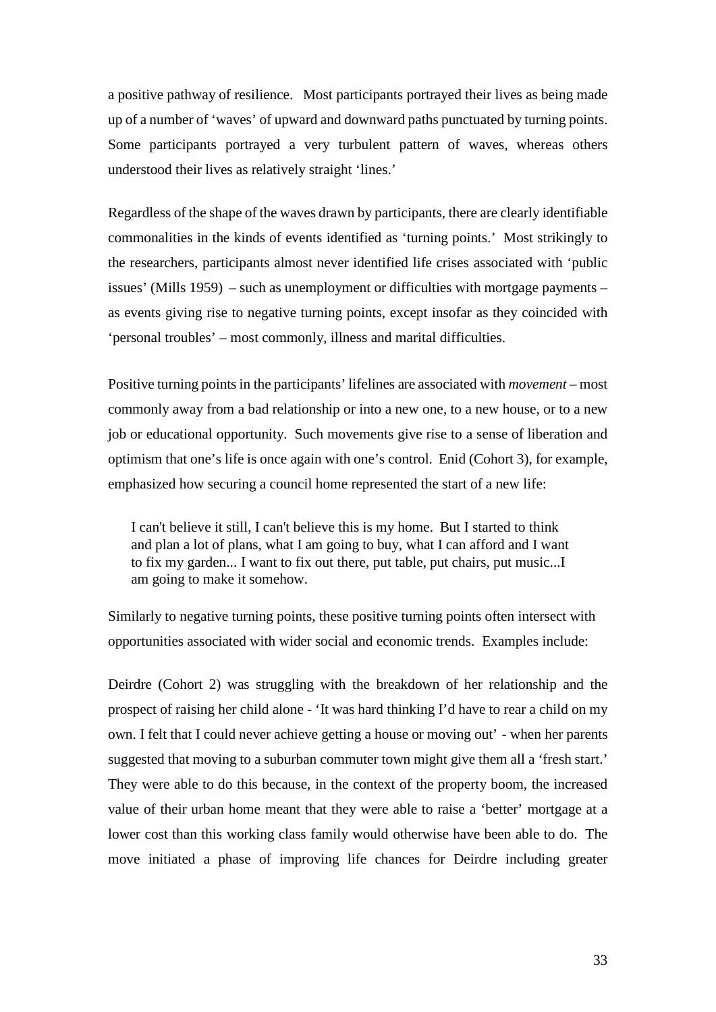a positive pathway of resilience. Most participants portrayed their lives as being made up of a number of 'waves' of upward and downward paths punctuated by turning points. Some participants portrayed a very turbulent pattern of waves, whereas others understood their lives as relatively straight 'lines.'

Regardless of the shape of the waves drawn by participants, there are clearly identifiable commonalities in the kinds of events identified as 'turning points.' Most strikingly to the researchers, participants almost never identified life crises associated with 'public issues' (Mills 1959) – such as unemployment or difficulties with mortgage payments – as events giving rise to negative turning points, except insofar as they coincided with 'personal troubles' – most commonly, illness and marital difficulties.

Positive turning points in the participants' lifelines are associated with *movement* – most commonly away from a bad relationship or into a new one, to a new house, or to a new job or educational opportunity. Such movements give rise to a sense of liberation and optimism that one's life is once again with one's control. Enid (Cohort 3), for example, emphasized how securing a council home represented the start of a new life:

I can't believe it still, I can't believe this is my home. But I started to think and plan a lot of plans, what I am going to buy, what I can afford and I want to fix my garden... I want to fix out there, put table, put chairs, put music...I am going to make it somehow.

Similarly to negative turning points, these positive turning points often intersect with opportunities associated with wider social and economic trends. Examples include:

Deirdre (Cohort 2) was struggling with the breakdown of her relationship and the prospect of raising her child alone - 'It was hard thinking I'd have to rear a child on my own. I felt that I could never achieve getting a house or moving out' - when her parents suggested that moving to a suburban commuter town might give them all a 'fresh start.' They were able to do this because, in the context of the property boom, the increased value of their urban home meant that they were able to raise a 'better' mortgage at a lower cost than this working class family would otherwise have been able to do. The move initiated a phase of improving life chances for Deirdre including greater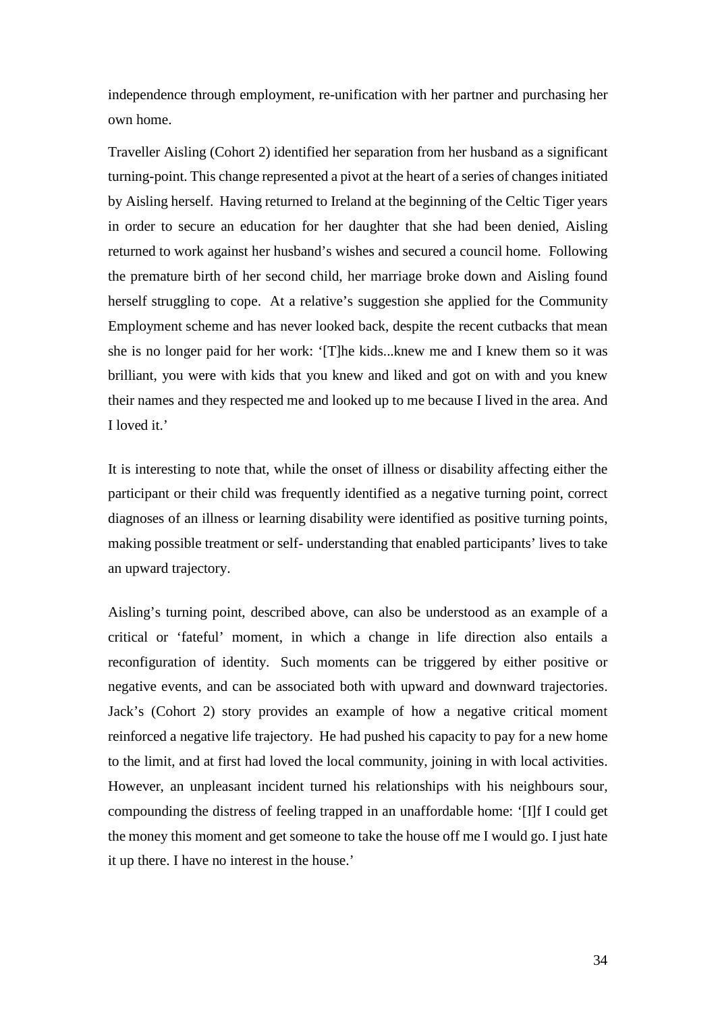independence through employment, re-unification with her partner and purchasing her own home.

Traveller Aisling (Cohort 2) identified her separation from her husband as a significant turning-point. This change represented a pivot at the heart of a series of changes initiated by Aisling herself. Having returned to Ireland at the beginning of the Celtic Tiger years in order to secure an education for her daughter that she had been denied, Aisling returned to work against her husband's wishes and secured a council home. Following the premature birth of her second child, her marriage broke down and Aisling found herself struggling to cope. At a relative's suggestion she applied for the Community Employment scheme and has never looked back, despite the recent cutbacks that mean she is no longer paid for her work: '[T]he kids...knew me and I knew them so it was brilliant, you were with kids that you knew and liked and got on with and you knew their names and they respected me and looked up to me because I lived in the area. And I loved it.'

It is interesting to note that, while the onset of illness or disability affecting either the participant or their child was frequently identified as a negative turning point, correct diagnoses of an illness or learning disability were identified as positive turning points, making possible treatment or self- understanding that enabled participants' lives to take an upward trajectory.

Aisling's turning point, described above, can also be understood as an example of a critical or 'fateful' moment, in which a change in life direction also entails a reconfiguration of identity. Such moments can be triggered by either positive or negative events, and can be associated both with upward and downward trajectories. Jack's (Cohort 2) story provides an example of how a negative critical moment reinforced a negative life trajectory. He had pushed his capacity to pay for a new home to the limit, and at first had loved the local community, joining in with local activities. However, an unpleasant incident turned his relationships with his neighbours sour, compounding the distress of feeling trapped in an unaffordable home: '[I]f I could get the money this moment and get someone to take the house off me I would go. I just hate it up there. I have no interest in the house.'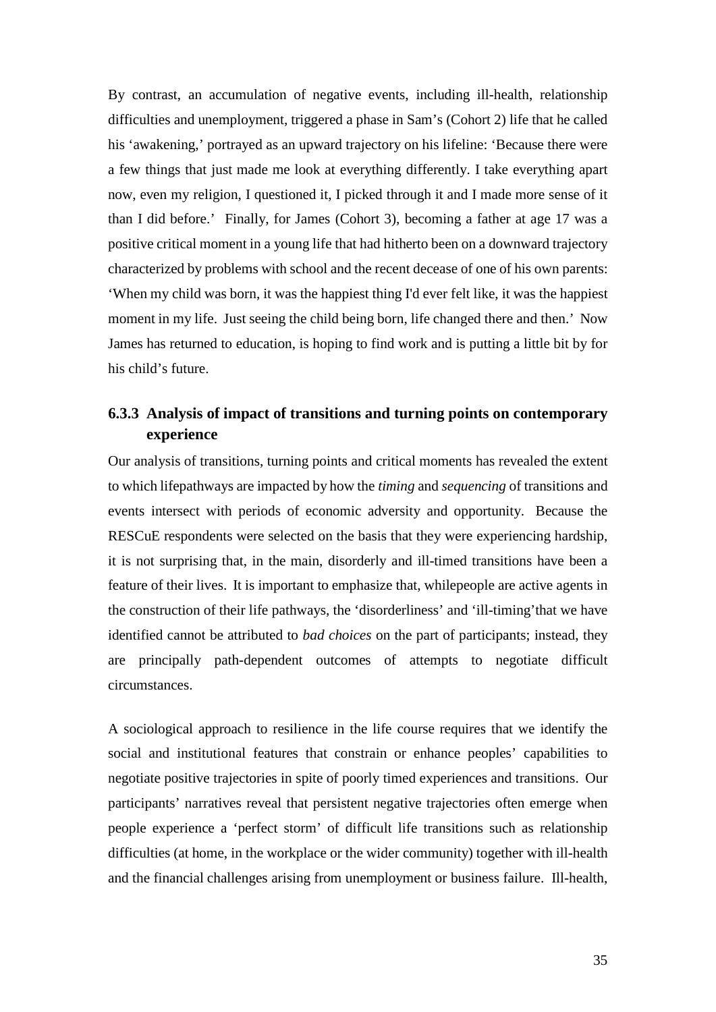By contrast, an accumulation of negative events, including ill-health, relationship difficulties and unemployment, triggered a phase in Sam's (Cohort 2) life that he called his 'awakening,' portrayed as an upward trajectory on his lifeline: 'Because there were a few things that just made me look at everything differently. I take everything apart now, even my religion, I questioned it, I picked through it and I made more sense of it than I did before.' Finally, for James (Cohort 3), becoming a father at age 17 was a positive critical moment in a young life that had hitherto been on a downward trajectory characterized by problems with school and the recent decease of one of his own parents: 'When my child was born, it was the happiest thing I'd ever felt like, it was the happiest moment in my life. Just seeing the child being born, life changed there and then.' Now James has returned to education, is hoping to find work and is putting a little bit by for his child's future.

## <span id="page-34-0"></span>**6.3.3 Analysis of impact of transitions and turning points on contemporary experience**

Our analysis of transitions, turning points and critical moments has revealed the extent to which lifepathways are impacted by how the *timing* and *sequencing* of transitions and events intersect with periods of economic adversity and opportunity. Because the RESCuE respondents were selected on the basis that they were experiencing hardship, it is not surprising that, in the main, disorderly and ill-timed transitions have been a feature of their lives. It is important to emphasize that, whilepeople are active agents in the construction of their life pathways, the 'disorderliness' and 'ill-timing'that we have identified cannot be attributed to *bad choices* on the part of participants; instead, they are principally path-dependent outcomes of attempts to negotiate difficult circumstances.

A sociological approach to resilience in the life course requires that we identify the social and institutional features that constrain or enhance peoples' capabilities to negotiate positive trajectories in spite of poorly timed experiences and transitions. Our participants' narratives reveal that persistent negative trajectories often emerge when people experience a 'perfect storm' of difficult life transitions such as relationship difficulties (at home, in the workplace or the wider community) together with ill-health and the financial challenges arising from unemployment or business failure. Ill-health,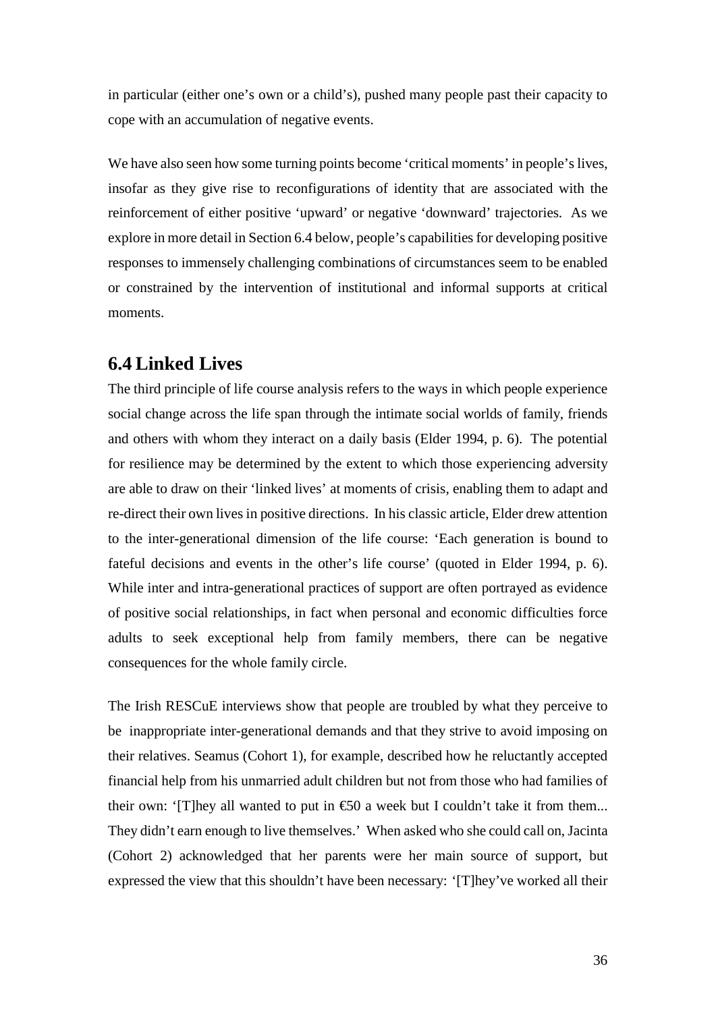in particular (either one's own or a child's), pushed many people past their capacity to cope with an accumulation of negative events.

We have also seen how some turning points become 'critical moments' in people's lives, insofar as they give rise to reconfigurations of identity that are associated with the reinforcement of either positive 'upward' or negative 'downward' trajectories. As we explore in more detail in Section 6.4 below, people's capabilities for developing positive responses to immensely challenging combinations of circumstances seem to be enabled or constrained by the intervention of institutional and informal supports at critical moments.

## <span id="page-35-0"></span>**6.4 Linked Lives**

The third principle of life course analysis refers to the ways in which people experience social change across the life span through the intimate social worlds of family, friends and others with whom they interact on a daily basis (Elder 1994, p. 6). The potential for resilience may be determined by the extent to which those experiencing adversity are able to draw on their 'linked lives' at moments of crisis, enabling them to adapt and re-direct their own lives in positive directions. In his classic article, Elder drew attention to the inter-generational dimension of the life course: 'Each generation is bound to fateful decisions and events in the other's life course' (quoted in Elder 1994, p. 6). While inter and intra-generational practices of support are often portrayed as evidence of positive social relationships, in fact when personal and economic difficulties force adults to seek exceptional help from family members, there can be negative consequences for the whole family circle.

The Irish RESCuE interviews show that people are troubled by what they perceive to be inappropriate inter-generational demands and that they strive to avoid imposing on their relatives. Seamus (Cohort 1), for example, described how he reluctantly accepted financial help from his unmarried adult children but not from those who had families of their own: '[T] hey all wanted to put in  $\epsilon$  a week but I couldn't take it from them... They didn't earn enough to live themselves.' When asked who she could call on, Jacinta (Cohort 2) acknowledged that her parents were her main source of support, but expressed the view that this shouldn't have been necessary: '[T]hey've worked all their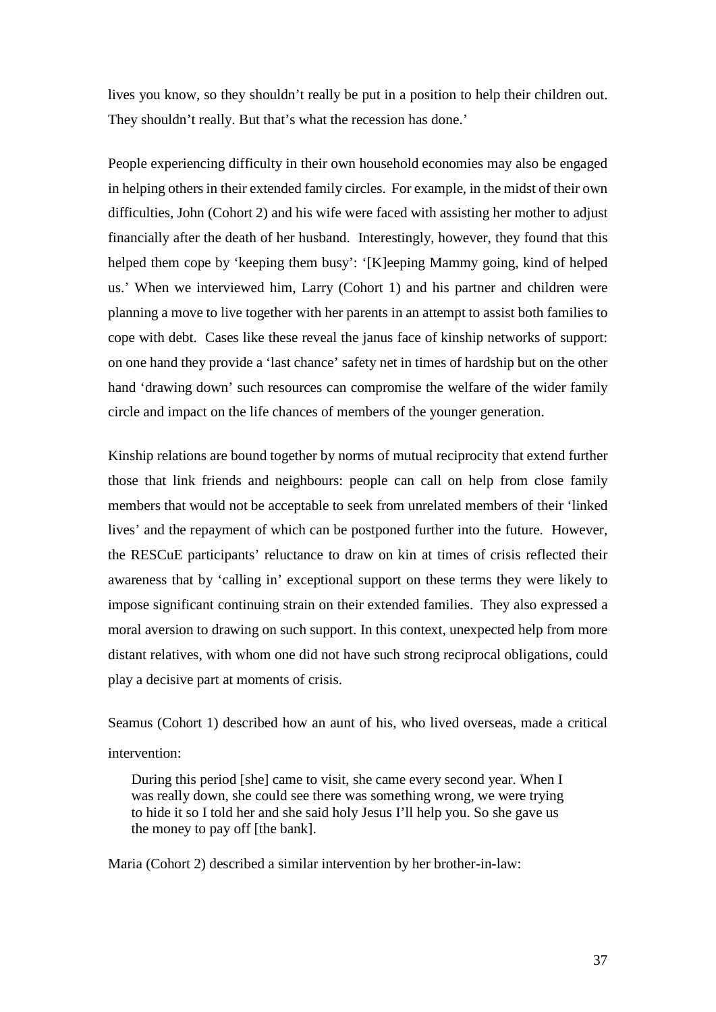lives you know, so they shouldn't really be put in a position to help their children out. They shouldn't really. But that's what the recession has done.'

People experiencing difficulty in their own household economies may also be engaged in helping others in their extended family circles. For example, in the midst of their own difficulties, John (Cohort 2) and his wife were faced with assisting her mother to adjust financially after the death of her husband. Interestingly, however, they found that this helped them cope by 'keeping them busy': '[K]eeping Mammy going, kind of helped us.' When we interviewed him, Larry (Cohort 1) and his partner and children were planning a move to live together with her parents in an attempt to assist both families to cope with debt. Cases like these reveal the janus face of kinship networks of support: on one hand they provide a 'last chance' safety net in times of hardship but on the other hand 'drawing down' such resources can compromise the welfare of the wider family circle and impact on the life chances of members of the younger generation.

Kinship relations are bound together by norms of mutual reciprocity that extend further those that link friends and neighbours: people can call on help from close family members that would not be acceptable to seek from unrelated members of their 'linked lives' and the repayment of which can be postponed further into the future. However, the RESCuE participants' reluctance to draw on kin at times of crisis reflected their awareness that by 'calling in' exceptional support on these terms they were likely to impose significant continuing strain on their extended families. They also expressed a moral aversion to drawing on such support. In this context, unexpected help from more distant relatives, with whom one did not have such strong reciprocal obligations, could play a decisive part at moments of crisis.

Seamus (Cohort 1) described how an aunt of his, who lived overseas, made a critical intervention:

During this period [she] came to visit, she came every second year. When I was really down, she could see there was something wrong, we were trying to hide it so I told her and she said holy Jesus I'll help you. So she gave us the money to pay off [the bank].

Maria (Cohort 2) described a similar intervention by her brother-in-law: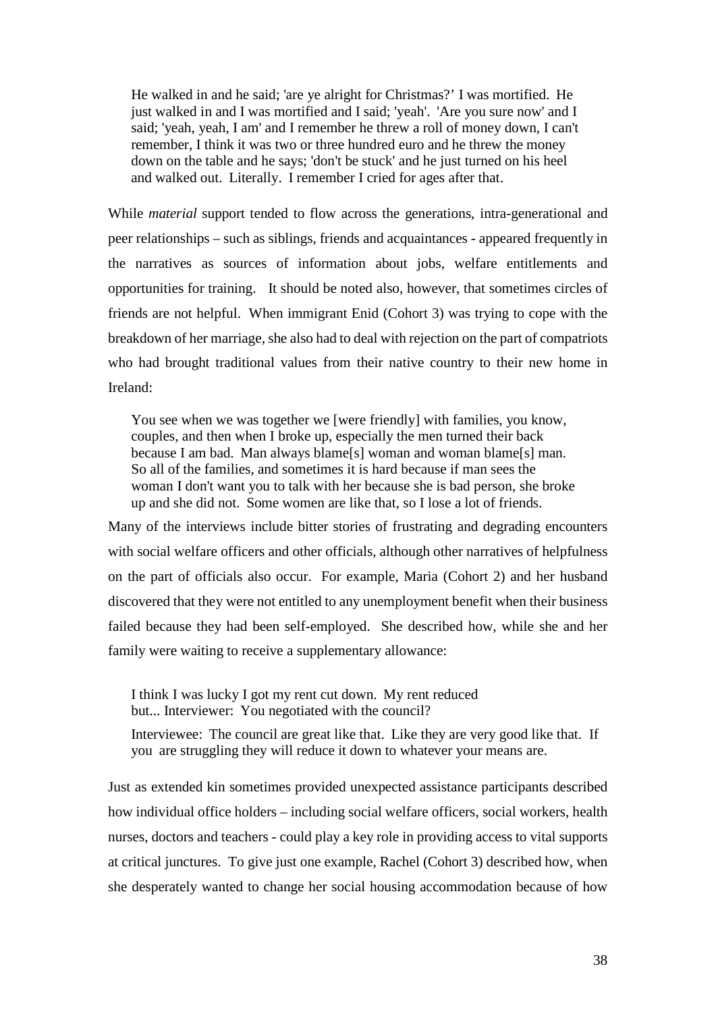He walked in and he said; 'are ye alright for Christmas?' I was mortified. He just walked in and I was mortified and I said; 'yeah'. 'Are you sure now' and I said; 'yeah, yeah, I am' and I remember he threw a roll of money down, I can't remember, I think it was two or three hundred euro and he threw the money down on the table and he says; 'don't be stuck' and he just turned on his heel and walked out. Literally. I remember I cried for ages after that.

While *material* support tended to flow across the generations, intra-generational and peer relationships – such as siblings, friends and acquaintances - appeared frequently in the narratives as sources of information about jobs, welfare entitlements and opportunities for training. It should be noted also, however, that sometimes circles of friends are not helpful. When immigrant Enid (Cohort 3) was trying to cope with the breakdown of her marriage, she also had to deal with rejection on the part of compatriots who had brought traditional values from their native country to their new home in Ireland:

You see when we was together we [were friendly] with families, you know, couples, and then when I broke up, especially the men turned their back because I am bad. Man always blame[s] woman and woman blame[s] man. So all of the families, and sometimes it is hard because if man sees the woman I don't want you to talk with her because she is bad person, she broke up and she did not. Some women are like that, so I lose a lot of friends.

Many of the interviews include bitter stories of frustrating and degrading encounters with social welfare officers and other officials, although other narratives of helpfulness on the part of officials also occur. For example, Maria (Cohort 2) and her husband discovered that they were not entitled to any unemployment benefit when their business failed because they had been self-employed. She described how, while she and her family were waiting to receive a supplementary allowance:

I think I was lucky I got my rent cut down. My rent reduced but... Interviewer: You negotiated with the council?

Interviewee: The council are great like that. Like they are very good like that. If you are struggling they will reduce it down to whatever your means are.

Just as extended kin sometimes provided unexpected assistance participants described how individual office holders – including social welfare officers, social workers, health nurses, doctors and teachers - could play a key role in providing access to vital supports at critical junctures. To give just one example, Rachel (Cohort 3) described how, when she desperately wanted to change her social housing accommodation because of how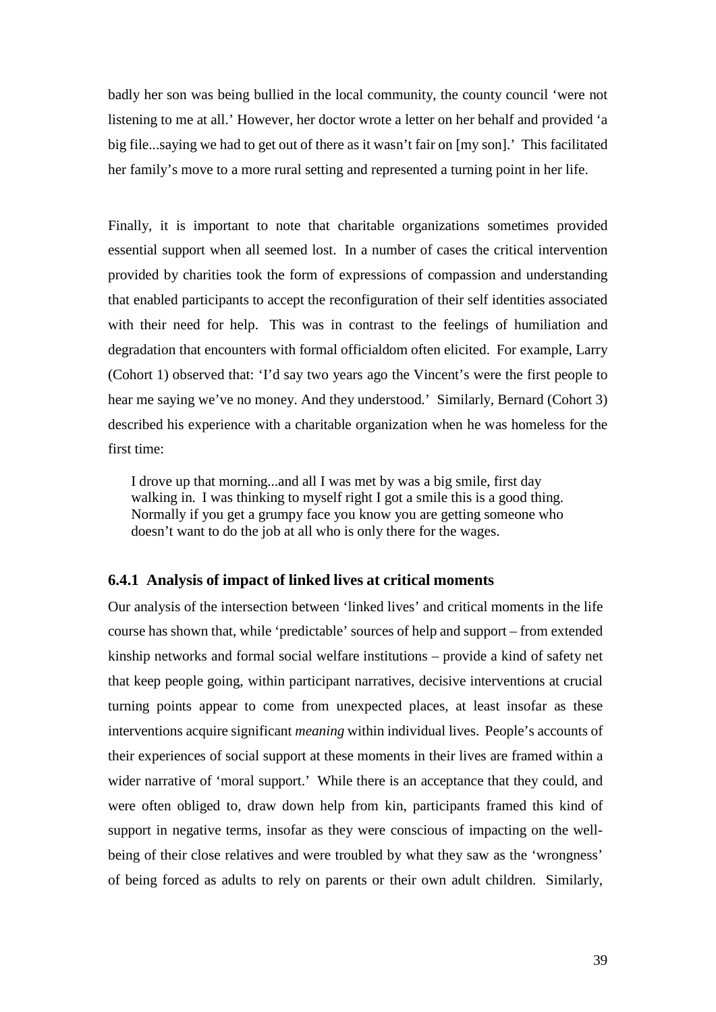badly her son was being bullied in the local community, the county council 'were not listening to me at all.' However, her doctor wrote a letter on her behalf and provided 'a big file...saying we had to get out of there as it wasn't fair on [my son].' This facilitated her family's move to a more rural setting and represented a turning point in her life.

Finally, it is important to note that charitable organizations sometimes provided essential support when all seemed lost. In a number of cases the critical intervention provided by charities took the form of expressions of compassion and understanding that enabled participants to accept the reconfiguration of their self identities associated with their need for help. This was in contrast to the feelings of humiliation and degradation that encounters with formal officialdom often elicited. For example, Larry (Cohort 1) observed that: 'I'd say two years ago the Vincent's were the first people to hear me saying we've no money. And they understood.' Similarly, Bernard (Cohort 3) described his experience with a charitable organization when he was homeless for the first time:

I drove up that morning...and all I was met by was a big smile, first day walking in. I was thinking to myself right I got a smile this is a good thing. Normally if you get a grumpy face you know you are getting someone who doesn't want to do the job at all who is only there for the wages.

#### **6.4.1 Analysis of impact of linked lives at critical moments**

Our analysis of the intersection between 'linked lives' and critical moments in the life course has shown that, while 'predictable' sources of help and support – from extended kinship networks and formal social welfare institutions – provide a kind of safety net that keep people going, within participant narratives, decisive interventions at crucial turning points appear to come from unexpected places, at least insofar as these interventions acquire significant *meaning* within individual lives. People's accounts of their experiences of social support at these moments in their lives are framed within a wider narrative of 'moral support.' While there is an acceptance that they could, and were often obliged to, draw down help from kin, participants framed this kind of support in negative terms, insofar as they were conscious of impacting on the wellbeing of their close relatives and were troubled by what they saw as the 'wrongness' of being forced as adults to rely on parents or their own adult children. Similarly,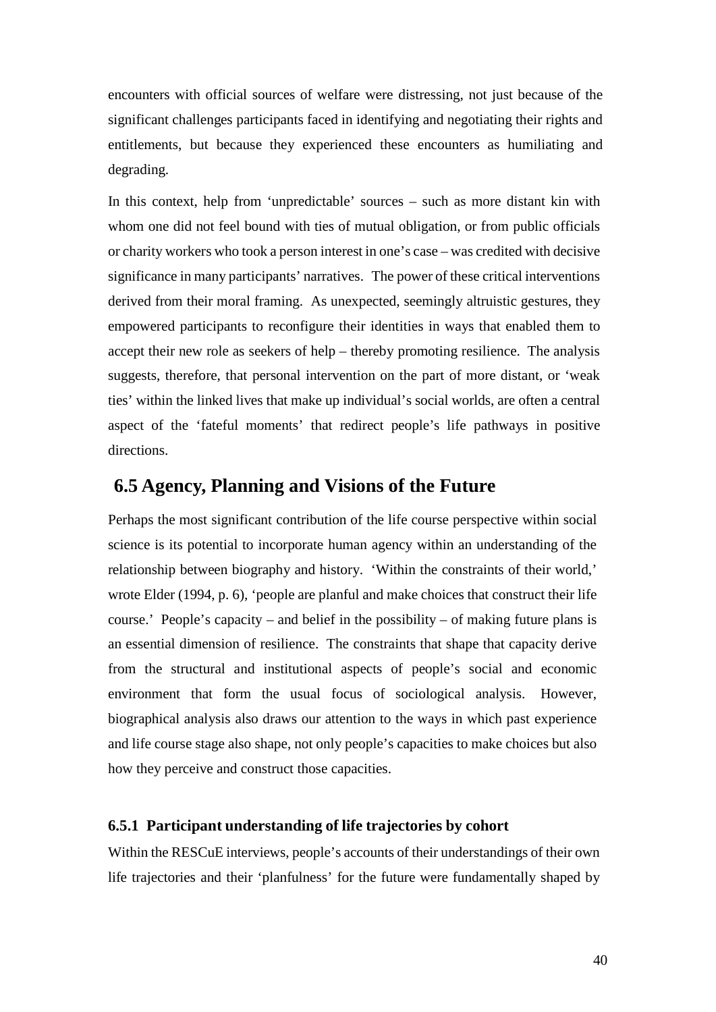encounters with official sources of welfare were distressing, not just because of the significant challenges participants faced in identifying and negotiating their rights and entitlements, but because they experienced these encounters as humiliating and degrading.

In this context, help from 'unpredictable' sources – such as more distant kin with whom one did not feel bound with ties of mutual obligation, or from public officials or charity workers who took a person interest in one's case – was credited with decisive significance in many participants' narratives. The power of these critical interventions derived from their moral framing. As unexpected, seemingly altruistic gestures, they empowered participants to reconfigure their identities in ways that enabled them to accept their new role as seekers of help – thereby promoting resilience. The analysis suggests, therefore, that personal intervention on the part of more distant, or 'weak ties' within the linked lives that make up individual's social worlds, are often a central aspect of the 'fateful moments' that redirect people's life pathways in positive directions.

## **6.5 Agency, Planning and Visions of the Future**

Perhaps the most significant contribution of the life course perspective within social science is its potential to incorporate human agency within an understanding of the relationship between biography and history. 'Within the constraints of their world,' wrote Elder (1994, p. 6), 'people are planful and make choices that construct their life course.' People's capacity – and belief in the possibility – of making future plans is an essential dimension of resilience. The constraints that shape that capacity derive from the structural and institutional aspects of people's social and economic environment that form the usual focus of sociological analysis. However, biographical analysis also draws our attention to the ways in which past experience and life course stage also shape, not only people's capacities to make choices but also how they perceive and construct those capacities.

#### <span id="page-39-0"></span>**6.5.1 Participant understanding of life trajectories by cohort**

Within the RESCuE interviews, people's accounts of their understandings of their own life trajectories and their 'planfulness' for the future were fundamentally shaped by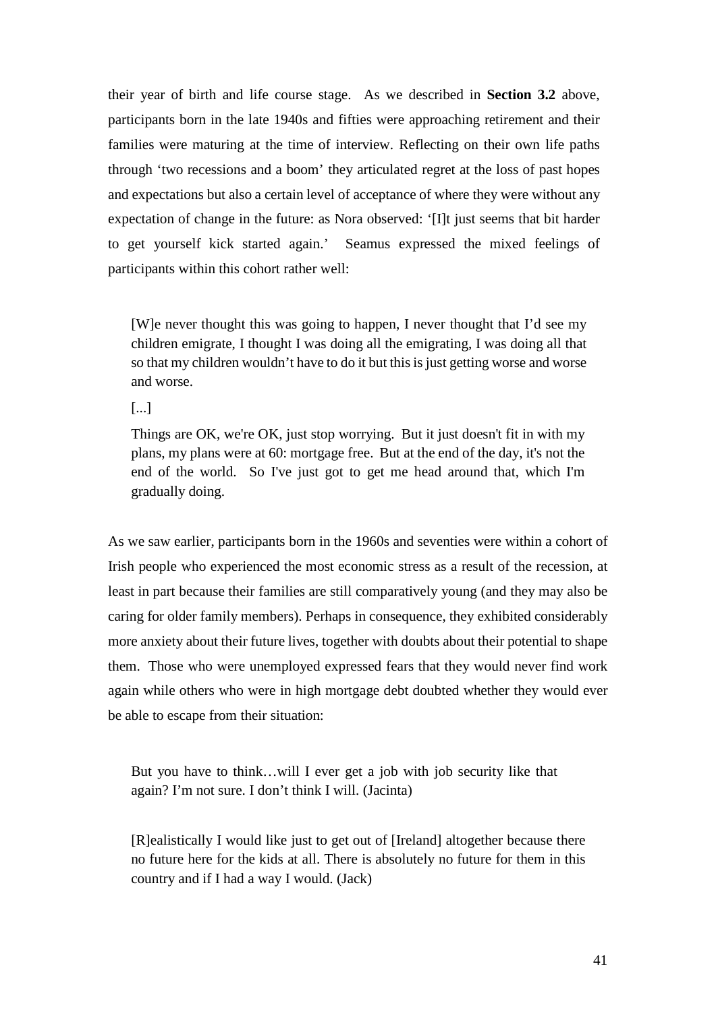their year of birth and life course stage. As we described in **Section 3.2** above, participants born in the late 1940s and fifties were approaching retirement and their families were maturing at the time of interview. Reflecting on their own life paths through 'two recessions and a boom' they articulated regret at the loss of past hopes and expectations but also a certain level of acceptance of where they were without any expectation of change in the future: as Nora observed: '[I]t just seems that bit harder to get yourself kick started again.' Seamus expressed the mixed feelings of participants within this cohort rather well:

[W]e never thought this was going to happen, I never thought that I'd see my children emigrate, I thought I was doing all the emigrating, I was doing all that so that my children wouldn't have to do it but this is just getting worse and worse and worse.

[...]

Things are OK, we're OK, just stop worrying. But it just doesn't fit in with my plans, my plans were at 60: mortgage free. But at the end of the day, it's not the end of the world. So I've just got to get me head around that, which I'm gradually doing.

As we saw earlier, participants born in the 1960s and seventies were within a cohort of Irish people who experienced the most economic stress as a result of the recession, at least in part because their families are still comparatively young (and they may also be caring for older family members). Perhaps in consequence, they exhibited considerably more anxiety about their future lives, together with doubts about their potential to shape them. Those who were unemployed expressed fears that they would never find work again while others who were in high mortgage debt doubted whether they would ever be able to escape from their situation:

But you have to think…will I ever get a job with job security like that again? I'm not sure. I don't think I will. (Jacinta)

[R]ealistically I would like just to get out of [Ireland] altogether because there no future here for the kids at all. There is absolutely no future for them in this country and if I had a way I would. (Jack)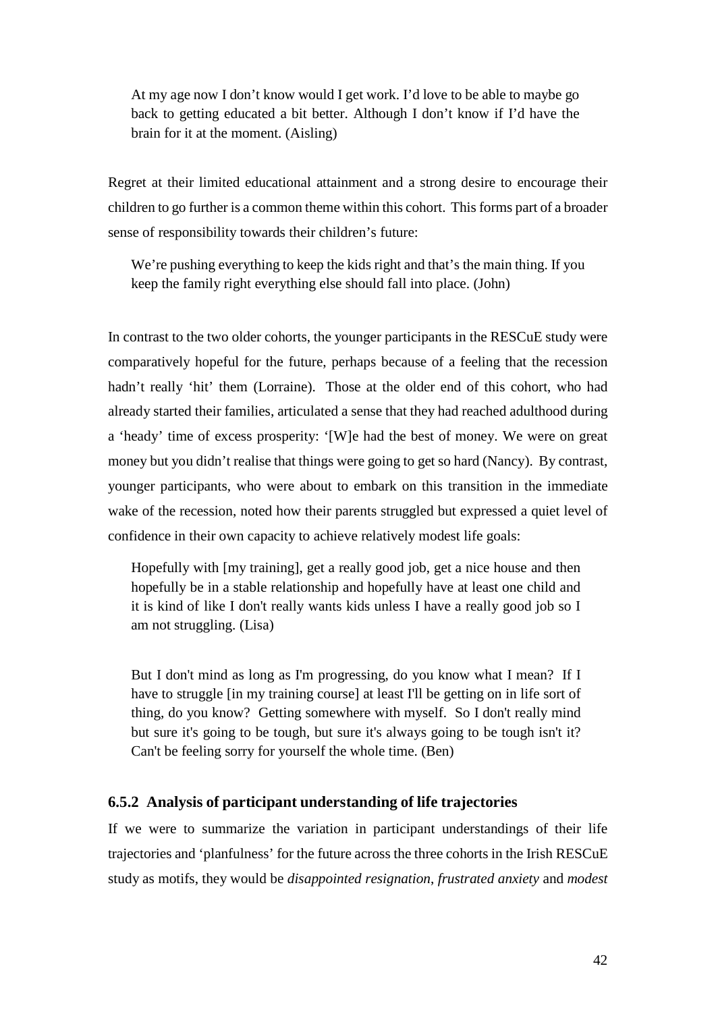At my age now I don't know would I get work. I'd love to be able to maybe go back to getting educated a bit better. Although I don't know if I'd have the brain for it at the moment. (Aisling)

Regret at their limited educational attainment and a strong desire to encourage their children to go further is a common theme within this cohort. This forms part of a broader sense of responsibility towards their children's future:

We're pushing everything to keep the kids right and that's the main thing. If you keep the family right everything else should fall into place. (John)

In contrast to the two older cohorts, the younger participants in the RESCuE study were comparatively hopeful for the future, perhaps because of a feeling that the recession hadn't really 'hit' them (Lorraine). Those at the older end of this cohort, who had already started their families, articulated a sense that they had reached adulthood during a 'heady' time of excess prosperity: '[W]e had the best of money. We were on great money but you didn't realise that things were going to get so hard (Nancy). By contrast, younger participants, who were about to embark on this transition in the immediate wake of the recession, noted how their parents struggled but expressed a quiet level of confidence in their own capacity to achieve relatively modest life goals:

Hopefully with [my training], get a really good job, get a nice house and then hopefully be in a stable relationship and hopefully have at least one child and it is kind of like I don't really wants kids unless I have a really good job so I am not struggling. (Lisa)

But I don't mind as long as I'm progressing, do you know what I mean? If I have to struggle [in my training course] at least I'll be getting on in life sort of thing, do you know? Getting somewhere with myself. So I don't really mind but sure it's going to be tough, but sure it's always going to be tough isn't it? Can't be feeling sorry for yourself the whole time. (Ben)

#### <span id="page-41-0"></span>**6.5.2 Analysis of participant understanding of life trajectories**

If we were to summarize the variation in participant understandings of their life trajectories and 'planfulness' for the future across the three cohorts in the Irish RESCuE study as motifs, they would be *disappointed resignation*, *frustrated anxiety* and *modest*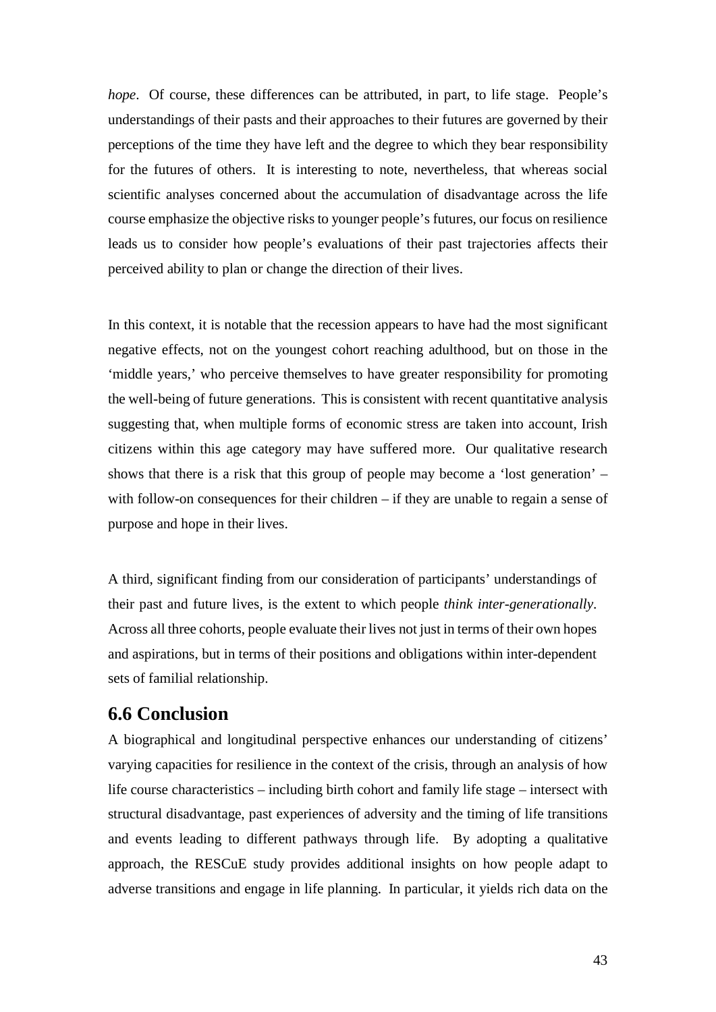*hope*. Of course, these differences can be attributed, in part, to life stage. People's understandings of their pasts and their approaches to their futures are governed by their perceptions of the time they have left and the degree to which they bear responsibility for the futures of others. It is interesting to note, nevertheless, that whereas social scientific analyses concerned about the accumulation of disadvantage across the life course emphasize the objective risks to younger people's futures, our focus on resilience leads us to consider how people's evaluations of their past trajectories affects their perceived ability to plan or change the direction of their lives.

In this context, it is notable that the recession appears to have had the most significant negative effects, not on the youngest cohort reaching adulthood, but on those in the 'middle years,' who perceive themselves to have greater responsibility for promoting the well-being of future generations. This is consistent with recent quantitative analysis suggesting that, when multiple forms of economic stress are taken into account, Irish citizens within this age category may have suffered more. Our qualitative research shows that there is a risk that this group of people may become a 'lost generation' – with follow-on consequences for their children – if they are unable to regain a sense of purpose and hope in their lives.

A third, significant finding from our consideration of participants' understandings of their past and future lives, is the extent to which people *think inter-generationally*. Across all three cohorts, people evaluate their lives not just in terms of their own hopes and aspirations, but in terms of their positions and obligations within inter-dependent sets of familial relationship.

## **6.6 Conclusion**

A biographical and longitudinal perspective enhances our understanding of citizens' varying capacities for resilience in the context of the crisis, through an analysis of how life course characteristics – including birth cohort and family life stage – intersect with structural disadvantage, past experiences of adversity and the timing of life transitions and events leading to different pathways through life. By adopting a qualitative approach, the RESCuE study provides additional insights on how people adapt to adverse transitions and engage in life planning. In particular, it yields rich data on the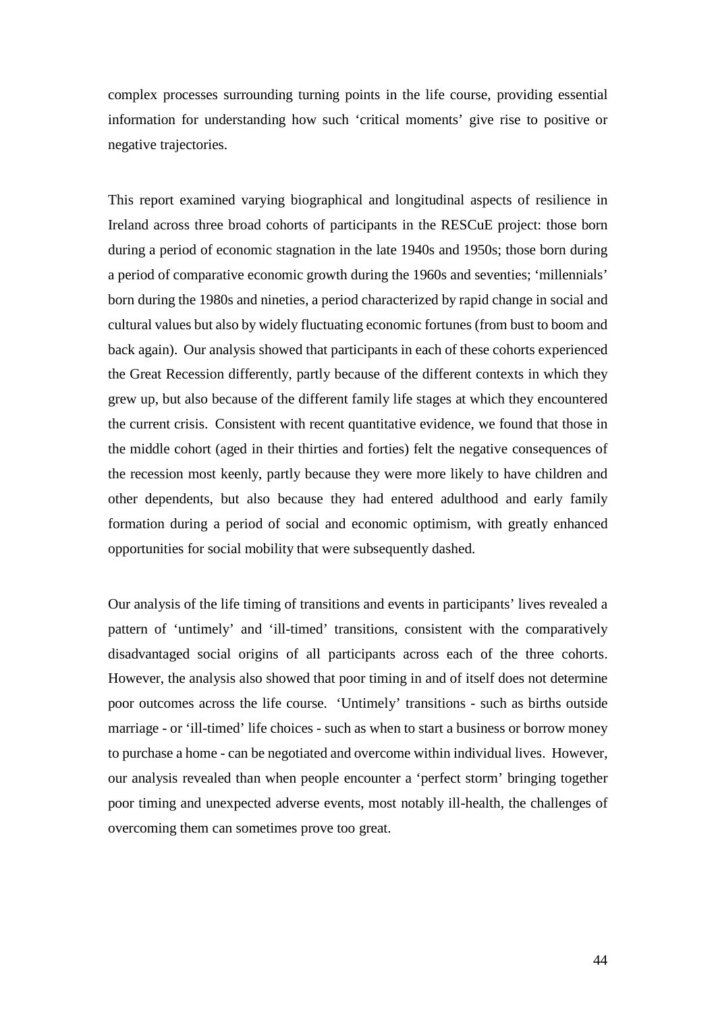complex processes surrounding turning points in the life course, providing essential information for understanding how such 'critical moments' give rise to positive or negative trajectories.

This report examined varying biographical and longitudinal aspects of resilience in Ireland across three broad cohorts of participants in the RESCuE project: those born during a period of economic stagnation in the late 1940s and 1950s; those born during a period of comparative economic growth during the 1960s and seventies; 'millennials' born during the 1980s and nineties, a period characterized by rapid change in social and cultural values but also by widely fluctuating economic fortunes (from bust to boom and back again). Our analysis showed that participants in each of these cohorts experienced the Great Recession differently, partly because of the different contexts in which they grew up, but also because of the different family life stages at which they encountered the current crisis. Consistent with recent quantitative evidence, we found that those in the middle cohort (aged in their thirties and forties) felt the negative consequences of the recession most keenly, partly because they were more likely to have children and other dependents, but also because they had entered adulthood and early family formation during a period of social and economic optimism, with greatly enhanced opportunities for social mobility that were subsequently dashed.

Our analysis of the life timing of transitions and events in participants' lives revealed a pattern of 'untimely' and 'ill-timed' transitions, consistent with the comparatively disadvantaged social origins of all participants across each of the three cohorts. However, the analysis also showed that poor timing in and of itself does not determine poor outcomes across the life course. 'Untimely' transitions - such as births outside marriage - or 'ill-timed' life choices - such as when to start a business or borrow money to purchase a home - can be negotiated and overcome within individual lives. However, our analysis revealed than when people encounter a 'perfect storm' bringing together poor timing and unexpected adverse events, most notably ill-health, the challenges of overcoming them can sometimes prove too great.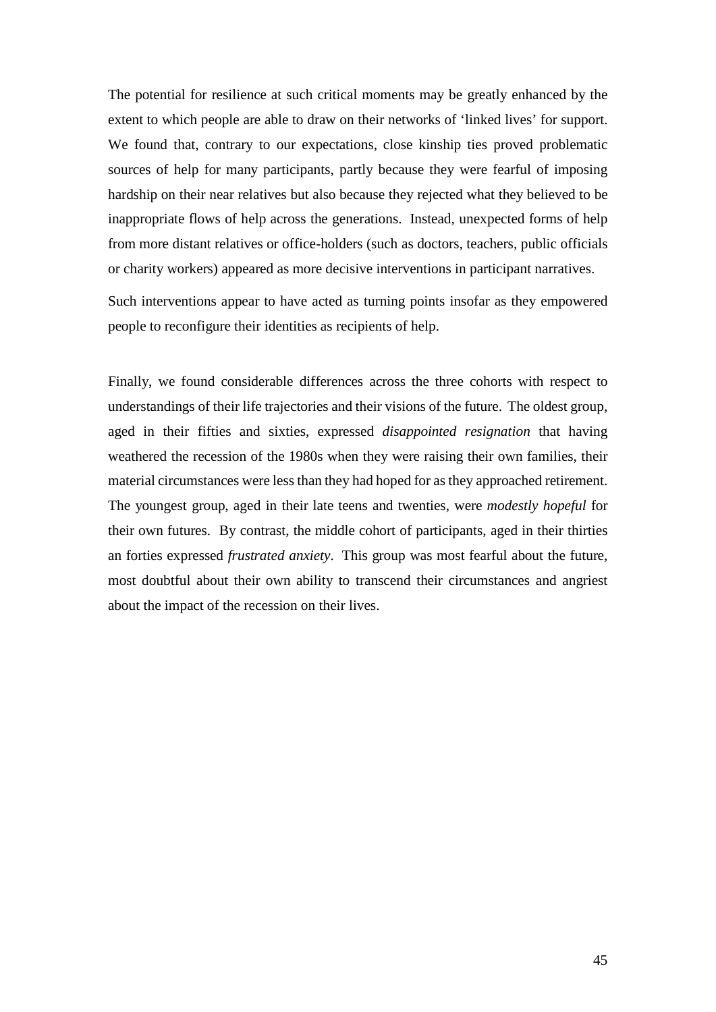The potential for resilience at such critical moments may be greatly enhanced by the extent to which people are able to draw on their networks of 'linked lives' for support. We found that, contrary to our expectations, close kinship ties proved problematic sources of help for many participants, partly because they were fearful of imposing hardship on their near relatives but also because they rejected what they believed to be inappropriate flows of help across the generations. Instead, unexpected forms of help from more distant relatives or office-holders (such as doctors, teachers, public officials or charity workers) appeared as more decisive interventions in participant narratives.

Such interventions appear to have acted as turning points insofar as they empowered people to reconfigure their identities as recipients of help.

Finally, we found considerable differences across the three cohorts with respect to understandings of their life trajectories and their visions of the future. The oldest group, aged in their fifties and sixties, expressed *disappointed resignation* that having weathered the recession of the 1980s when they were raising their own families, their material circumstances were lessthan they had hoped for as they approached retirement. The youngest group, aged in their late teens and twenties, were *modestly hopeful* for their own futures. By contrast, the middle cohort of participants, aged in their thirties an forties expressed *frustrated anxiety*. This group was most fearful about the future, most doubtful about their own ability to transcend their circumstances and angriest about the impact of the recession on their lives.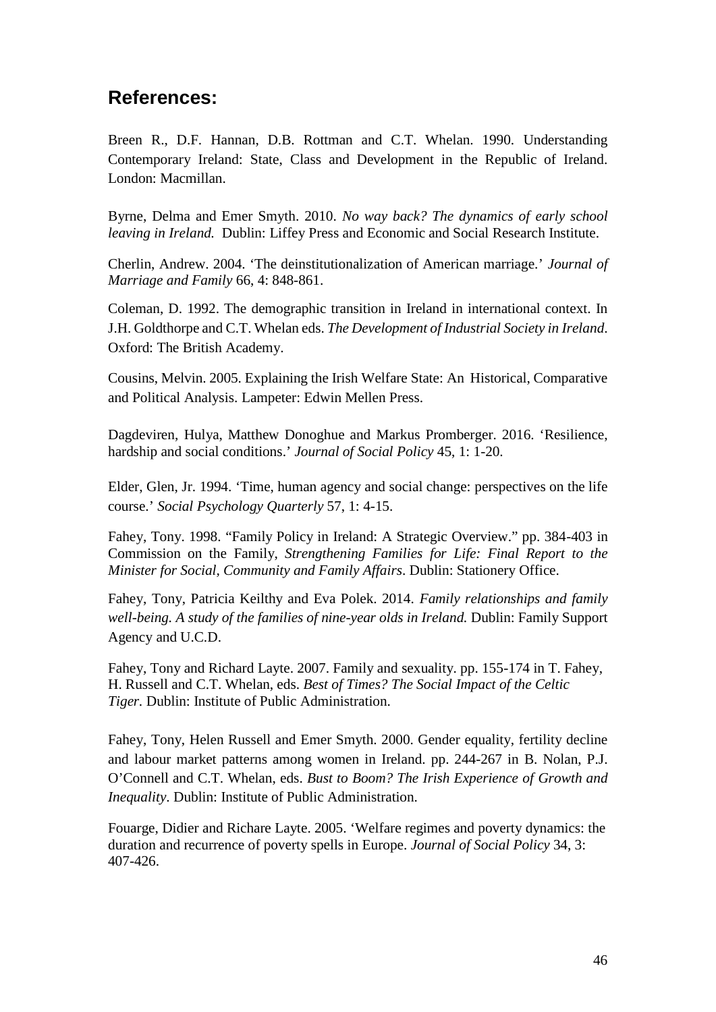## <span id="page-45-0"></span>**References:**

Breen R., D.F. Hannan, D.B. Rottman and C.T. Whelan. 1990. Understanding Contemporary Ireland: State, Class and Development in the Republic of Ireland. London: Macmillan.

Byrne, Delma and Emer Smyth. 2010. *No way back? The dynamics of early school leaving in Ireland.* Dublin: Liffey Press and Economic and Social Research Institute.

Cherlin, Andrew. 2004. 'The deinstitutionalization of American marriage.' *Journal of Marriage and Family* 66, 4: 848-861.

Coleman, D. 1992. The demographic transition in Ireland in international context. In J.H. Goldthorpe and C.T. Whelan eds. *The Development of Industrial Society in Ireland*. Oxford: The British Academy.

Cousins, Melvin. 2005. Explaining the Irish Welfare State: An Historical, Comparative and Political Analysis. Lampeter: Edwin Mellen Press.

Dagdeviren, Hulya, Matthew Donoghue and Markus Promberger. 2016. 'Resilience, hardship and social conditions.' *Journal of Social Policy* 45, 1: 1-20.

Elder, Glen, Jr. 1994. 'Time, human agency and social change: perspectives on the life course.' *Social Psychology Quarterly* 57, 1: 4-15.

Fahey, Tony. 1998. "Family Policy in Ireland: A Strategic Overview." pp. 384-403 in Commission on the Family, *Strengthening Families for Life: Final Report to the Minister for Social, Community and Family Affairs*. Dublin: Stationery Office.

Fahey, Tony, Patricia Keilthy and Eva Polek. 2014. *Family relationships and family well-being. A study of the families of nine-year olds in Ireland.* Dublin: Family Support Agency and U.C.D.

Fahey, Tony and Richard Layte. 2007. Family and sexuality. pp. 155-174 in T. Fahey, H. Russell and C.T. Whelan, eds. *Best of Times? The Social Impact of the Celtic Tiger.* Dublin: Institute of Public Administration.

Fahey, Tony, Helen Russell and Emer Smyth. 2000. Gender equality, fertility decline and labour market patterns among women in Ireland. pp. 244-267 in B. Nolan, P.J. O'Connell and C.T. Whelan, eds. *Bust to Boom? The Irish Experience of Growth and Inequality*. Dublin: Institute of Public Administration.

Fouarge, Didier and Richare Layte. 2005. 'Welfare regimes and poverty dynamics: the duration and recurrence of poverty spells in Europe. *Journal of Social Policy* 34, 3: 407-426.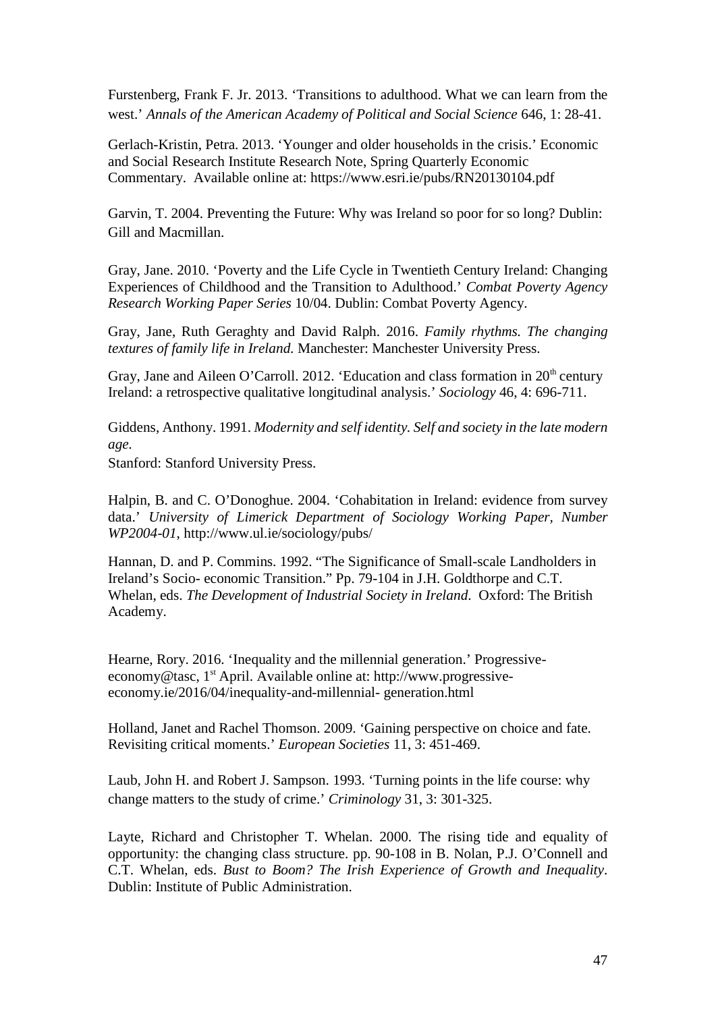Furstenberg, Frank F. Jr. 2013. 'Transitions to adulthood. What we can learn from the west.' *Annals of the American Academy of Political and Social Science* 646, 1: 28-41.

Gerlach-Kristin, Petra. 2013. 'Younger and older households in the crisis.' Economic and Social Research Institute Research Note, Spring Quarterly Economic Commentary. Available online at: https:/[/www.esri.ie/pubs/RN20130104.pdf](http://www.esri.ie/pubs/RN20130104.pdf)

Garvin, T. 2004. Preventing the Future: Why was Ireland so poor for so long? Dublin: Gill and Macmillan.

Gray, Jane. 2010. 'Poverty and the Life Cycle in Twentieth Century Ireland: Changing Experiences of Childhood and the Transition to Adulthood.' *Combat Poverty Agency Research Working Paper Series* 10/04. Dublin: Combat Poverty Agency.

Gray, Jane, Ruth Geraghty and David Ralph. 2016. *Family rhythms. The changing textures of family life in Ireland.* Manchester: Manchester University Press.

Gray, Jane and Aileen O'Carroll. 2012. 'Education and class formation in  $20<sup>th</sup>$  century Ireland: a retrospective qualitative longitudinal analysis.' *Sociology* 46, 4: 696-711.

Giddens, Anthony. 1991. *Modernity and self identity. Self and society in the late modern age.*

Stanford: Stanford University Press.

Halpin, B. and C. O'Donoghue. 2004. 'Cohabitation in Ireland: evidence from survey data.' *University of Limerick Department of Sociology Working Paper, Number WP2004-01*, <http://www.ul.ie/sociology/pubs/>

Hannan, D. and P. Commins. 1992. "The Significance of Small-scale Landholders in Ireland's Socio- economic Transition." Pp. 79-104 in J.H. Goldthorpe and C.T. Whelan, eds. *The Development of Industrial Society in Ireland*. Oxford: The British Academy.

Hearne, Rory. 2016. 'Inequality and the millennial generation.' Progressiveeconomy@tasc, 1<sup>st</sup> April. Available online at: [http://www.progressive](http://www.progressive-economy.ie/2016/04/inequality-and-millennial-)[economy.ie/2016/04/inequality-and-millennial-](http://www.progressive-economy.ie/2016/04/inequality-and-millennial-) generation.html

Holland, Janet and Rachel Thomson. 2009. 'Gaining perspective on choice and fate. Revisiting critical moments.' *European Societies* 11, 3: 451-469.

Laub, John H. and Robert J. Sampson. 1993. 'Turning points in the life course: why change matters to the study of crime.' *Criminology* 31, 3: 301-325.

Layte, Richard and Christopher T. Whelan. 2000. The rising tide and equality of opportunity: the changing class structure. pp. 90-108 in B. Nolan, P.J. O'Connell and C.T. Whelan, eds. *Bust to Boom? The Irish Experience of Growth and Inequality*. Dublin: Institute of Public Administration.